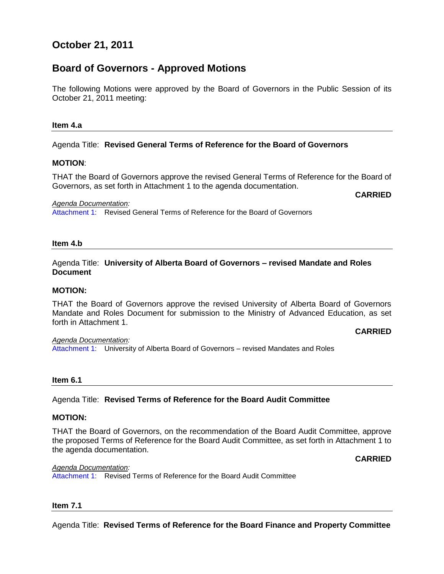# **October 21, 2011**

# **Board of Governors - Approved Motions**

The following Motions were approved by the Board of Governors in the Public Session of its October 21, 2011 meeting:

#### **Item 4.a**

#### Agenda Title: **Revised General Terms of Reference for the Board of Governors**

#### **MOTION**:

THAT the Board of Governors approve the revised General Terms of Reference for the Board of Governors, as set forth in Attachment 1 to the agenda documentation.

*Agenda Documentation:*

[Attachment 1:](#page-4-0) Revised General Terms of Reference for the Board of Governors

#### **Item 4.b**

## Agenda Title: **University of Alberta Board of Governors – revised Mandate and Roles Document**

## **MOTION:**

THAT the Board of Governors approve the revised University of Alberta Board of Governors Mandate and Roles Document for submission to the Ministry of Advanced Education, as set forth in Attachment 1.

#### **CARRIED**

**CARRIED**

*Agenda Documentation:* [Attachment 1:](#page-7-0) University of Alberta Board of Governors – revised Mandates and Roles

#### **Item 6.1**

## Agenda Title: **Revised Terms of Reference for the Board Audit Committee**

#### **MOTION:**

THAT the Board of Governors, on the recommendation of the Board Audit Committee, approve the proposed Terms of Reference for the Board Audit Committee, as set forth in Attachment 1 to the agenda documentation.

**CARRIED**

#### *Agenda Documentation:*

[Attachment 1:](#page-17-0) Revised Terms of Reference for the Board Audit Committee

#### **Item 7.1**

Agenda Title: **Revised Terms of Reference for the Board Finance and Property Committee**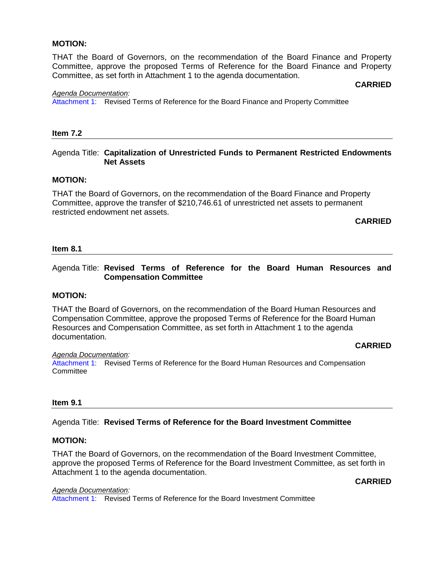#### **MOTION:**

THAT the Board of Governors, on the recommendation of the Board Finance and Property Committee, approve the proposed Terms of Reference for the Board Finance and Property Committee, as set forth in Attachment 1 to the agenda documentation.

#### *Agenda Documentation:*

[Attachment 1:](#page-23-0) Revised Terms of Reference for the Board Finance and Property Committee

#### **Item 7.2**

## Agenda Title: **Capitalization of Unrestricted Funds to Permanent Restricted Endowments Net Assets**

#### **MOTION:**

THAT the Board of Governors, on the recommendation of the Board Finance and Property Committee, approve the transfer of \$210,746.61 of unrestricted net assets to permanent restricted endowment net assets.

## **CARRIED**

**CARRIED**

#### **Item 8.1**

## Agenda Title: **Revised Terms of Reference for the Board Human Resources and Compensation Committee**

#### **MOTION:**

THAT the Board of Governors, on the recommendation of the Board Human Resources and Compensation Committee, approve the proposed Terms of Reference for the Board Human Resources and Compensation Committee, as set forth in Attachment 1 to the agenda documentation.

#### **CARRIED**

#### *Agenda Documentation:*

[Attachment 1:](#page-27-0) Revised Terms of Reference for the Board Human Resources and Compensation **Committee** 

#### **Item 9.1**

#### Agenda Title: **Revised Terms of Reference for the Board Investment Committee**

#### **MOTION:**

THAT the Board of Governors, on the recommendation of the Board Investment Committee, approve the proposed Terms of Reference for the Board Investment Committee, as set forth in Attachment 1 to the agenda documentation.

## **CARRIED**

*Agenda Documentation:* [Attachment 1:](#page-30-0) Revised Terms of Reference for the Board Investment Committee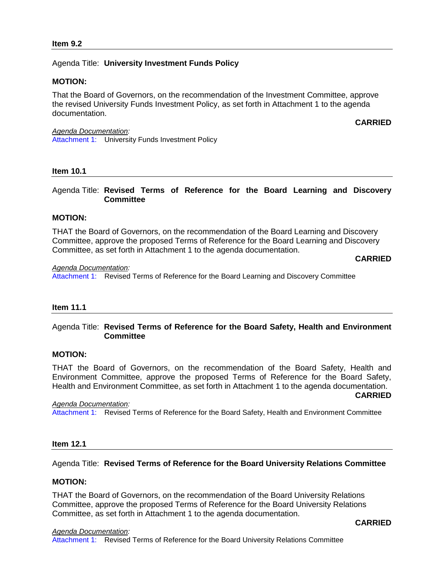## Agenda Title: **University Investment Funds Policy**

## **MOTION:**

That the Board of Governors, on the recommendation of the Investment Committee, approve the revised University Funds Investment Policy, as set forth in Attachment 1 to the agenda documentation.

*Agenda Documentation:* [Attachment 1:](#page-32-0) University Funds Investment Policy

#### **Item 10.1**

Agenda Title: **Revised Terms of Reference for the Board Learning and Discovery Committee**

## **MOTION:**

THAT the Board of Governors, on the recommendation of the Board Learning and Discovery Committee, approve the proposed Terms of Reference for the Board Learning and Discovery Committee, as set forth in Attachment 1 to the agenda documentation.

**CARRIED**

**CARRIED**

*Agenda Documentation:* [Attachment 1:](#page-42-0) Revised Terms of Reference for the Board Learning and Discovery Committee

## **Item 11.1**

## Agenda Title: **Revised Terms of Reference for the Board Safety, Health and Environment Committee**

#### **MOTION:**

THAT the Board of Governors, on the recommendation of the Board Safety, Health and Environment Committee, approve the proposed Terms of Reference for the Board Safety, Health and Environment Committee, as set forth in Attachment 1 to the agenda documentation.

*Agenda Documentation:*

[Attachment 1:](#page-45-0) Revised Terms of Reference for the Board Safety, Health and Environment Committee

## **Item 12.1**

## Agenda Title: **Revised Terms of Reference for the Board University Relations Committee**

## **MOTION:**

THAT the Board of Governors, on the recommendation of the Board University Relations Committee, approve the proposed Terms of Reference for the Board University Relations Committee, as set forth in Attachment 1 to the agenda documentation.

**CARRIED**

**CARRIED**

#### *Agenda Documentation:* [Attachment 1:](#page-48-0) Revised Terms of Reference for the Board University Relations Committee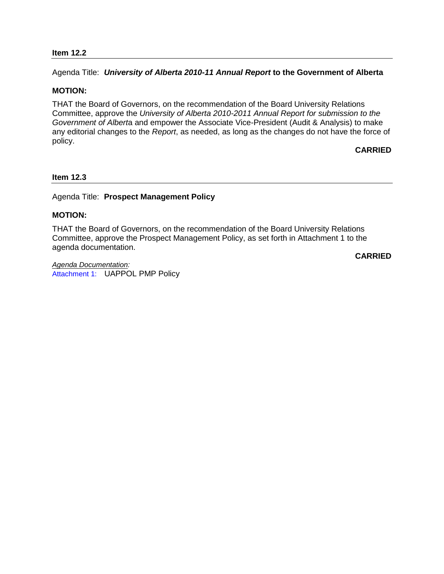## **Item 12.2**

Agenda Title: *University of Alberta 2010-11 Annual Report* **to the Government of Alberta**

#### **MOTION:**

THAT the Board of Governors, on the recommendation of the Board University Relations Committee, approve the *University of Alberta 2010-2011 Annual Report for submission to the Government of Albert*a and empower the Associate Vice-President (Audit & Analysis) to make any editorial changes to the *Report*, as needed, as long as the changes do not have the force of policy.

## **CARRIED**

#### **Item 12.3**

## Agenda Title: **Prospect Management Policy**

## **MOTION:**

THAT the Board of Governors, on the recommendation of the Board University Relations Committee, approve the Prospect Management Policy, as set forth in Attachment 1 to the agenda documentation.

**CARRIED**

*Agenda Documentation:* [Attachment 1:](#page-52-0) UAPPOL PMP Policy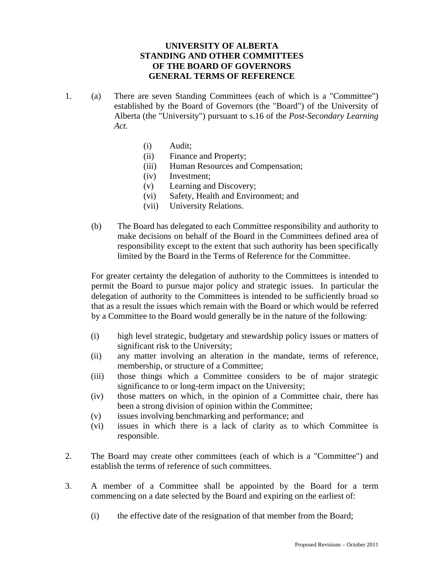## **UNIVERSITY OF ALBERTA STANDING AND OTHER COMMITTEES OF THE BOARD OF GOVERNORS GENERAL TERMS OF REFERENCE**

- <span id="page-4-0"></span>1. (a) There are seven Standing Committees (each of which is a "Committee") established by the Board of Governors (the "Board") of the University of Alberta (the "University") pursuant to s.16 of the *Post-Secondary Learning Act.* 
	- (i) Audit;
	- (ii) Finance and Property;
	- (iii) Human Resources and Compensation;
	- (iv) Investment;
	- (v) Learning and Discovery;
	- (vi) Safety, Health and Environment; and
	- (vii) University Relations.
	- (b) The Board has delegated to each Committee responsibility and authority to make decisions on behalf of the Board in the Committees defined area of responsibility except to the extent that such authority has been specifically limited by the Board in the Terms of Reference for the Committee.

For greater certainty the delegation of authority to the Committees is intended to permit the Board to pursue major policy and strategic issues. In particular the delegation of authority to the Committees is intended to be sufficiently broad so that as a result the issues which remain with the Board or which would be referred by a Committee to the Board would generally be in the nature of the following:

- (i) high level strategic, budgetary and stewardship policy issues or matters of significant risk to the University;
- (ii) any matter involving an alteration in the mandate, terms of reference, membership, or structure of a Committee;
- (iii) those things which a Committee considers to be of major strategic significance to or long-term impact on the University;
- (iv) those matters on which, in the opinion of a Committee chair, there has been a strong division of opinion within the Committee;
- (v) issues involving benchmarking and performance; and
- (vi) issues in which there is a lack of clarity as to which Committee is responsible.
- 2. The Board may create other committees (each of which is a "Committee") and establish the terms of reference of such committees.
- 3. A member of a Committee shall be appointed by the Board for a term commencing on a date selected by the Board and expiring on the earliest of:
	- (i) the effective date of the resignation of that member from the Board;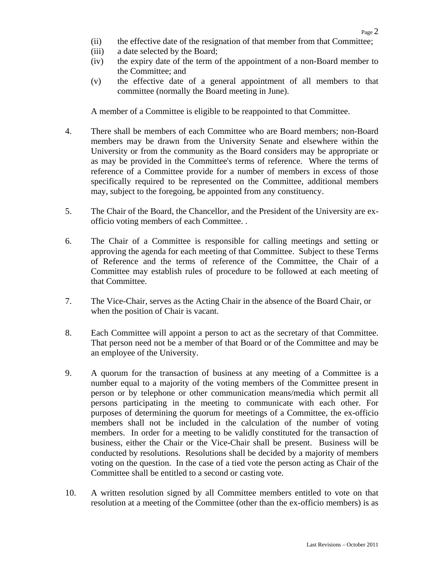- (ii) the effective date of the resignation of that member from that Committee;
- (iii) a date selected by the Board;
- (iv) the expiry date of the term of the appointment of a non-Board member to the Committee; and
- (v) the effective date of a general appointment of all members to that committee (normally the Board meeting in June).

A member of a Committee is eligible to be reappointed to that Committee.

- 4. There shall be members of each Committee who are Board members; non-Board members may be drawn from the University Senate and elsewhere within the University or from the community as the Board considers may be appropriate or as may be provided in the Committee's terms of reference. Where the terms of reference of a Committee provide for a number of members in excess of those specifically required to be represented on the Committee, additional members may, subject to the foregoing, be appointed from any constituency.
- 5. The Chair of the Board, the Chancellor, and the President of the University are exofficio voting members of each Committee. .
- 6. The Chair of a Committee is responsible for calling meetings and setting or approving the agenda for each meeting of that Committee. Subject to these Terms of Reference and the terms of reference of the Committee, the Chair of a Committee may establish rules of procedure to be followed at each meeting of that Committee.
- 7. The Vice-Chair, serves as the Acting Chair in the absence of the Board Chair, or when the position of Chair is vacant.
- 8. Each Committee will appoint a person to act as the secretary of that Committee. That person need not be a member of that Board or of the Committee and may be an employee of the University.
- 9. A quorum for the transaction of business at any meeting of a Committee is a number equal to a majority of the voting members of the Committee present in person or by telephone or other communication means/media which permit all persons participating in the meeting to communicate with each other. For purposes of determining the quorum for meetings of a Committee, the ex-officio members shall not be included in the calculation of the number of voting members. In order for a meeting to be validly constituted for the transaction of business, either the Chair or the Vice-Chair shall be present. Business will be conducted by resolutions. Resolutions shall be decided by a majority of members voting on the question. In the case of a tied vote the person acting as Chair of the Committee shall be entitled to a second or casting vote.
- 10. A written resolution signed by all Committee members entitled to vote on that resolution at a meeting of the Committee (other than the ex-officio members) is as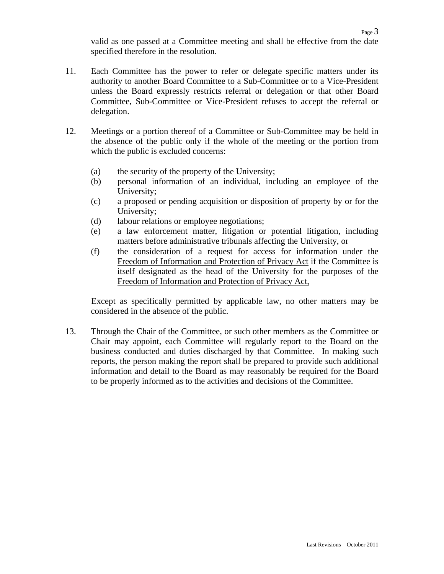- 11. Each Committee has the power to refer or delegate specific matters under its authority to another Board Committee to a Sub-Committee or to a Vice-President unless the Board expressly restricts referral or delegation or that other Board Committee, Sub-Committee or Vice-President refuses to accept the referral or delegation.
- 12. Meetings or a portion thereof of a Committee or Sub-Committee may be held in the absence of the public only if the whole of the meeting or the portion from which the public is excluded concerns:
	- (a) the security of the property of the University;
	- (b) personal information of an individual, including an employee of the University;
	- (c) a proposed or pending acquisition or disposition of property by or for the University;
	- (d) labour relations or employee negotiations;
	- (e) a law enforcement matter, litigation or potential litigation, including matters before administrative tribunals affecting the University, or
	- (f) the consideration of a request for access for information under the Freedom of Information and Protection of Privacy Act if the Committee is itself designated as the head of the University for the purposes of the Freedom of Information and Protection of Privacy Act,

Except as specifically permitted by applicable law, no other matters may be considered in the absence of the public.

13. Through the Chair of the Committee, or such other members as the Committee or Chair may appoint, each Committee will regularly report to the Board on the business conducted and duties discharged by that Committee. In making such reports, the person making the report shall be prepared to provide such additional information and detail to the Board as may reasonably be required for the Board to be properly informed as to the activities and decisions of the Committee.

Page 3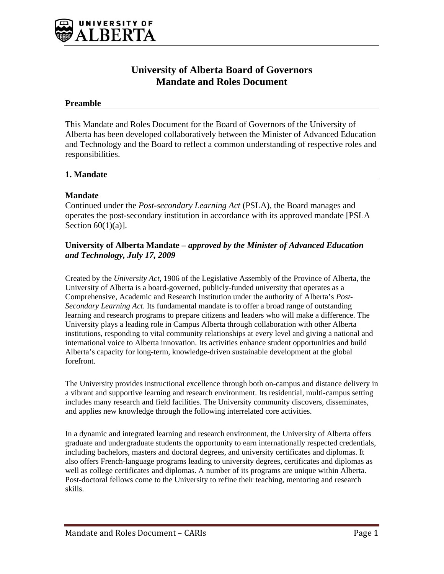<span id="page-7-0"></span>

# **University of Alberta Board of Governors Mandate and Roles Document**

## **Preamble**

This Mandate and Roles Document for the Board of Governors of the University of Alberta has been developed collaboratively between the Minister of Advanced Education and Technology and the Board to reflect a common understanding of respective roles and responsibilities.

## **1. Mandate**

## **Mandate**

Continued under the *Post-secondary Learning Act* (PSLA), the Board manages and operates the post-secondary institution in accordance with its approved mandate [PSLA Section  $60(1)(a)$ ].

## **University of Alberta Mandate** *– approved by the Minister of Advanced Education and Technology, July 17, 2009*

Created by the *University Act*, 1906 of the Legislative Assembly of the Province of Alberta, the University of Alberta is a board-governed, publicly-funded university that operates as a Comprehensive, Academic and Research Institution under the authority of Alberta's *Post-Secondary Learning Act*. Its fundamental mandate is to offer a broad range of outstanding learning and research programs to prepare citizens and leaders who will make a difference. The University plays a leading role in Campus Alberta through collaboration with other Alberta institutions, responding to vital community relationships at every level and giving a national and international voice to Alberta innovation. Its activities enhance student opportunities and build Alberta's capacity for long-term, knowledge-driven sustainable development at the global forefront.

The University provides instructional excellence through both on-campus and distance delivery in a vibrant and supportive learning and research environment. Its residential, multi-campus setting includes many research and field facilities. The University community discovers, disseminates, and applies new knowledge through the following interrelated core activities.

In a dynamic and integrated learning and research environment, the University of Alberta offers graduate and undergraduate students the opportunity to earn internationally respected credentials, including bachelors, masters and doctoral degrees, and university certificates and diplomas. It also offers French-language programs leading to university degrees, certificates and diplomas as well as college certificates and diplomas. A number of its programs are unique within Alberta. Post-doctoral fellows come to the University to refine their teaching, mentoring and research skills.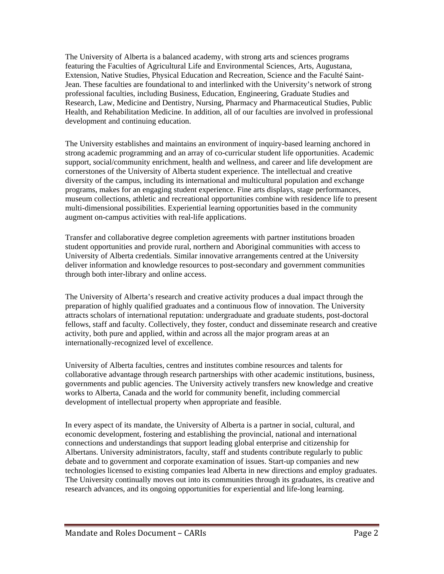The University of Alberta is a balanced academy, with strong arts and sciences programs featuring the Faculties of Agricultural Life and Environmental Sciences, Arts, Augustana, Extension, Native Studies, Physical Education and Recreation, Science and the Faculté Saint-Jean. These faculties are foundational to and interlinked with the University's network of strong professional faculties, including Business, Education, Engineering, Graduate Studies and Research, Law, Medicine and Dentistry, Nursing, Pharmacy and Pharmaceutical Studies, Public Health, and Rehabilitation Medicine. In addition, all of our faculties are involved in professional development and continuing education.

The University establishes and maintains an environment of inquiry-based learning anchored in strong academic programming and an array of co-curricular student life opportunities. Academic support, social/community enrichment, health and wellness, and career and life development are cornerstones of the University of Alberta student experience. The intellectual and creative diversity of the campus, including its international and multicultural population and exchange programs, makes for an engaging student experience. Fine arts displays, stage performances, museum collections, athletic and recreational opportunities combine with residence life to present multi-dimensional possibilities. Experiential learning opportunities based in the community augment on-campus activities with real-life applications.

Transfer and collaborative degree completion agreements with partner institutions broaden student opportunities and provide rural, northern and Aboriginal communities with access to University of Alberta credentials. Similar innovative arrangements centred at the University deliver information and knowledge resources to post-secondary and government communities through both inter-library and online access.

The University of Alberta's research and creative activity produces a dual impact through the preparation of highly qualified graduates and a continuous flow of innovation. The University attracts scholars of international reputation: undergraduate and graduate students, post-doctoral fellows, staff and faculty. Collectively, they foster, conduct and disseminate research and creative activity, both pure and applied, within and across all the major program areas at an internationally-recognized level of excellence.

University of Alberta faculties, centres and institutes combine resources and talents for collaborative advantage through research partnerships with other academic institutions, business, governments and public agencies. The University actively transfers new knowledge and creative works to Alberta, Canada and the world for community benefit, including commercial development of intellectual property when appropriate and feasible.

In every aspect of its mandate, the University of Alberta is a partner in social, cultural, and economic development, fostering and establishing the provincial, national and international connections and understandings that support leading global enterprise and citizenship for Albertans. University administrators, faculty, staff and students contribute regularly to public debate and to government and corporate examination of issues. Start-up companies and new technologies licensed to existing companies lead Alberta in new directions and employ graduates. The University continually moves out into its communities through its graduates, its creative and research advances, and its ongoing opportunities for experiential and life-long learning.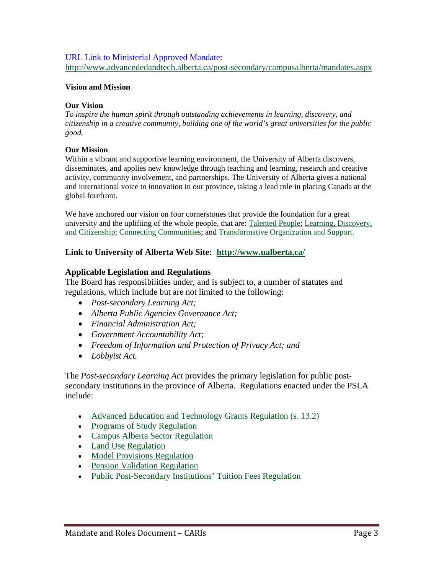## URL Link to Ministerial Approved Mandate:

http://www.advancededandtech.alberta.ca/post-secondary/campusalberta/mandates.aspx

## **Vision and Mission**

## **Our Vision**

*To inspire the human spirit through outstanding achievements in learning, discovery, and citizenship in a creative community, building one of the world's great universities for the public good.* 

## **Our Mission**

Within a vibrant and supportive learning environment, the University of Alberta discovers, disseminates, and applies new knowledge through teaching and learning, research and creative activity, community involvement, and partnerships. The University of Alberta gives a national and international voice to innovation in our province, taking a lead role in placing Canada at the global forefront.

We have anchored our vision on four cornerstones that provide the foundation for a great university and the uplifting of the whole people, that are: Talented People; Learning, Discovery, and Citizenship; Connecting Communities; and Transformative Organization and Support.

## **Link to University of Alberta Web Site: http://www.ualberta.ca/**

## **Applicable Legislation and Regulations**

The Board has responsibilities under, and is subject to, a number of statutes and regulations, which include but are not limited to the following:

- *Post-secondary Learning Act;*
- *Alberta Public Agencies Governance Act;*
- *Financial Administration Act;*
- *Government Accountability Act;*
- *Freedom of Information and Protection of Privacy Act; and*
- *Lobbyist Act.*

The *Post-secondary Learning Act* provides the primary legislation for public postsecondary institutions in the province of Alberta. Regulations enacted under the PSLA include:

- Advanced Education and Technology Grants Regulation (s. 13.2)
- Programs of Study Regulation
- Campus Alberta Sector Regulation
- Land Use Regulation
- Model Provisions Regulation
- Pension Validation Regulation
- Public Post-Secondary Institutions' Tuition Fees Regulation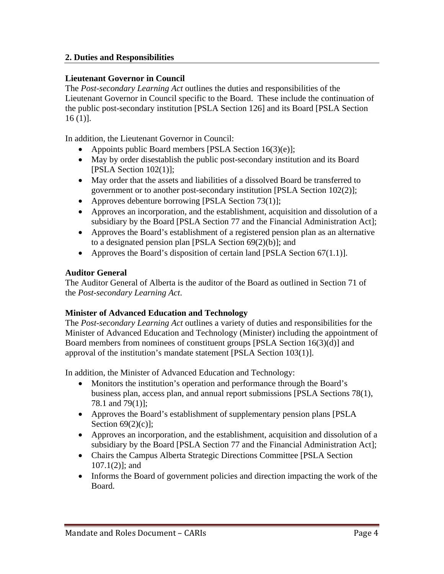# **2. Duties and Responsibilities**

# **Lieutenant Governor in Council**

The *Post-secondary Learning Act* outlines the duties and responsibilities of the Lieutenant Governor in Council specific to the Board. These include the continuation of the public post-secondary institution [PSLA Section 126] and its Board [PSLA Section  $16(1)$ .

In addition, the Lieutenant Governor in Council:

- Appoints public Board members [PSLA Section  $16(3)(e)$ ];
- May by order disestablish the public post-secondary institution and its Board [PSLA Section 102(1)];
- May order that the assets and liabilities of a dissolved Board be transferred to government or to another post-secondary institution [PSLA Section 102(2)];
- Approves debenture borrowing [PSLA Section  $73(1)$ ];
- Approves an incorporation, and the establishment, acquisition and dissolution of a subsidiary by the Board [PSLA Section 77 and the Financial Administration Act];
- Approves the Board's establishment of a registered pension plan as an alternative to a designated pension plan [PSLA Section 69(2)(b)]; and
- Approves the Board's disposition of certain land [PSLA Section  $67(1.1)$ ].

# **Auditor General**

The Auditor General of Alberta is the auditor of the Board as outlined in Section 71 of the *Post-secondary Learning Act*.

# **Minister of Advanced Education and Technology**

The *Post-secondary Learning Act* outlines a variety of duties and responsibilities for the Minister of Advanced Education and Technology (Minister) including the appointment of Board members from nominees of constituent groups [PSLA Section 16(3)(d)] and approval of the institution's mandate statement [PSLA Section 103(1)].

In addition, the Minister of Advanced Education and Technology:

- Monitors the institution's operation and performance through the Board's business plan, access plan, and annual report submissions [PSLA Sections 78(1), 78.1 and 79(1)];
- Approves the Board's establishment of supplementary pension plans [PSLA Section 69(2)(c)];
- Approves an incorporation, and the establishment, acquisition and dissolution of a subsidiary by the Board [PSLA Section 77 and the Financial Administration Act];
- Chairs the Campus Alberta Strategic Directions Committee [PSLA Section 107.1(2)]; and
- Informs the Board of government policies and direction impacting the work of the Board.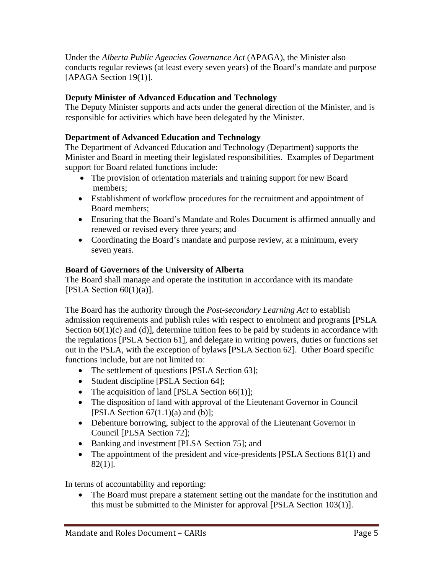Under the *Alberta Public Agencies Governance Act* (APAGA), the Minister also conducts regular reviews (at least every seven years) of the Board's mandate and purpose [APAGA Section 19(1)].

# **Deputy Minister of Advanced Education and Technology**

The Deputy Minister supports and acts under the general direction of the Minister, and is responsible for activities which have been delegated by the Minister.

# **Department of Advanced Education and Technology**

The Department of Advanced Education and Technology (Department) supports the Minister and Board in meeting their legislated responsibilities. Examples of Department support for Board related functions include:

- The provision of orientation materials and training support for new Board members;
- Establishment of workflow procedures for the recruitment and appointment of Board members;
- Ensuring that the Board's Mandate and Roles Document is affirmed annually and renewed or revised every three years; and
- Coordinating the Board's mandate and purpose review, at a minimum, every seven years.

# **Board of Governors of the University of Alberta**

The Board shall manage and operate the institution in accordance with its mandate [PSLA Section  $60(1)(a)$ ].

The Board has the authority through the *Post-secondary Learning Act* to establish admission requirements and publish rules with respect to enrolment and programs [PSLA Section  $60(1)(c)$  and  $(d)$ ], determine tuition fees to be paid by students in accordance with the regulations [PSLA Section 61], and delegate in writing powers, duties or functions set out in the PSLA, with the exception of bylaws [PSLA Section 62]. Other Board specific functions include, but are not limited to:

- The settlement of questions [PSLA Section 63];
- Student discipline [PSLA Section 64];
- The acquisition of land [PSLA Section  $66(1)$ ];
- The disposition of land with approval of the Lieutenant Governor in Council [PSLA Section  $67(1.1)(a)$  and  $(b)$ ];
- Debenture borrowing, subject to the approval of the Lieutenant Governor in Council [PLSA Section 72];
- Banking and investment [PLSA Section 75]; and
- The appointment of the president and vice-presidents [PSLA Sections 81(1) and 82(1)].

In terms of accountability and reporting:

• The Board must prepare a statement setting out the mandate for the institution and this must be submitted to the Minister for approval [PSLA Section 103(1)].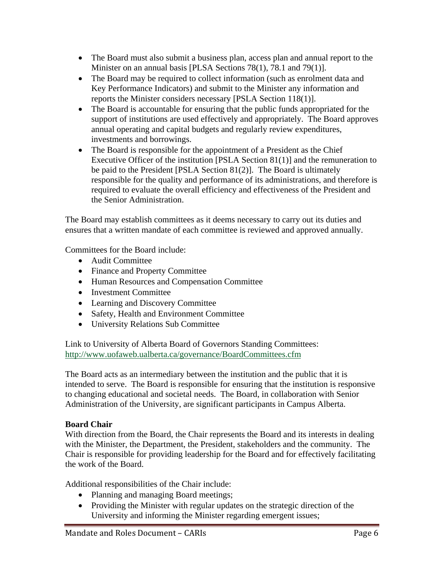- The Board must also submit a business plan, access plan and annual report to the Minister on an annual basis [PLSA Sections 78(1), 78.1 and 79(1)].
- The Board may be required to collect information (such as enrolment data and Key Performance Indicators) and submit to the Minister any information and reports the Minister considers necessary [PSLA Section 118(1)].
- The Board is accountable for ensuring that the public funds appropriated for the support of institutions are used effectively and appropriately. The Board approves annual operating and capital budgets and regularly review expenditures, investments and borrowings.
- The Board is responsible for the appointment of a President as the Chief Executive Officer of the institution [PSLA Section 81(1)] and the remuneration to be paid to the President [PSLA Section 81(2)]. The Board is ultimately responsible for the quality and performance of its administrations, and therefore is required to evaluate the overall efficiency and effectiveness of the President and the Senior Administration.

The Board may establish committees as it deems necessary to carry out its duties and ensures that a written mandate of each committee is reviewed and approved annually.

Committees for the Board include:

- Audit Committee
- Finance and Property Committee
- Human Resources and Compensation Committee
- Investment Committee
- Learning and Discovery Committee
- Safety, Health and Environment Committee
- University Relations Sub Committee

Link to University of Alberta Board of Governors Standing Committees: http://www.uofaweb.ualberta.ca/governance/BoardCommittees.cfm

The Board acts as an intermediary between the institution and the public that it is intended to serve. The Board is responsible for ensuring that the institution is responsive to changing educational and societal needs. The Board, in collaboration with Senior Administration of the University, are significant participants in Campus Alberta.

# **Board Chair**

With direction from the Board, the Chair represents the Board and its interests in dealing with the Minister, the Department, the President, stakeholders and the community. The Chair is responsible for providing leadership for the Board and for effectively facilitating the work of the Board.

Additional responsibilities of the Chair include:

- Planning and managing Board meetings;
- Providing the Minister with regular updates on the strategic direction of the University and informing the Minister regarding emergent issues;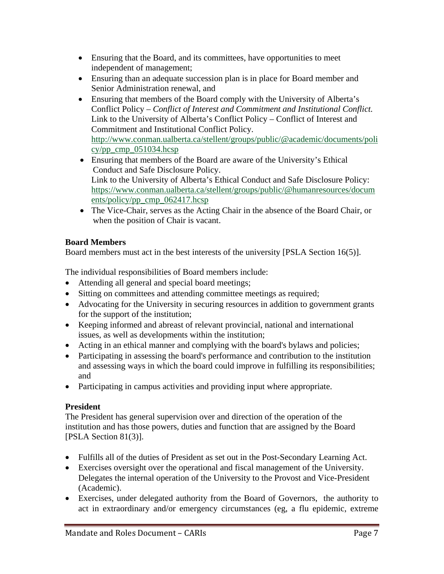- Ensuring that the Board, and its committees, have opportunities to meet independent of management;
- Ensuring than an adequate succession plan is in place for Board member and Senior Administration renewal, and
- Ensuring that members of the Board comply with the University of Alberta's Conflict Policy – *Conflict of Interest and Commitment and Institutional Conflict.*  Link to the University of Alberta's Conflict Policy – Conflict of Interest and Commitment and Institutional Conflict Policy. http://www.conman.ualberta.ca/stellent/groups/public/@academic/documents/poli cy/pp cmp $051034$ .hcsp
- Ensuring that members of the Board are aware of the University's Ethical Conduct and Safe Disclosure Policy. Link to the University of Alberta's Ethical Conduct and Safe Disclosure Policy: https://www.conman.ualberta.ca/stellent/groups/public/@humanresources/docum ents/policy/pp\_cmp\_062417.hcsp
- The Vice-Chair, serves as the Acting Chair in the absence of the Board Chair, or when the position of Chair is vacant.

# **Board Members**

Board members must act in the best interests of the university [PSLA Section 16(5)].

The individual responsibilities of Board members include:

- Attending all general and special board meetings;
- Sitting on committees and attending committee meetings as required;
- Advocating for the University in securing resources in addition to government grants for the support of the institution;
- Keeping informed and abreast of relevant provincial, national and international issues, as well as developments within the institution;
- Acting in an ethical manner and complying with the board's bylaws and policies;
- Participating in assessing the board's performance and contribution to the institution and assessing ways in which the board could improve in fulfilling its responsibilities; and
- Participating in campus activities and providing input where appropriate.

# **President**

The President has general supervision over and direction of the operation of the institution and has those powers, duties and function that are assigned by the Board [PSLA Section 81(3)].

- Fulfills all of the duties of President as set out in the Post-Secondary Learning Act.
- Exercises oversight over the operational and fiscal management of the University. Delegates the internal operation of the University to the Provost and Vice-President (Academic).
- Exercises, under delegated authority from the Board of Governors, the authority to act in extraordinary and/or emergency circumstances (eg, a flu epidemic, extreme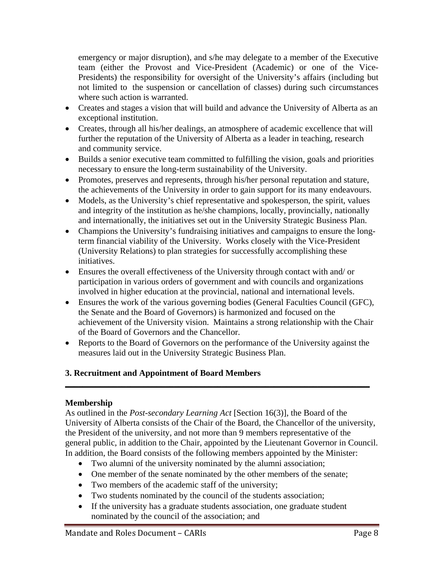emergency or major disruption), and s/he may delegate to a member of the Executive team (either the Provost and Vice-President (Academic) or one of the Vice-Presidents) the responsibility for oversight of the University's affairs (including but not limited to the suspension or cancellation of classes) during such circumstances where such action is warranted.

- Creates and stages a vision that will build and advance the University of Alberta as an exceptional institution.
- Creates, through all his/her dealings, an atmosphere of academic excellence that will further the reputation of the University of Alberta as a leader in teaching, research and community service.
- Builds a senior executive team committed to fulfilling the vision, goals and priorities necessary to ensure the long-term sustainability of the University.
- Promotes, preserves and represents, through his/her personal reputation and stature, the achievements of the University in order to gain support for its many endeavours.
- Models, as the University's chief representative and spokesperson, the spirit, values and integrity of the institution as he/she champions, locally, provincially, nationally and internationally, the initiatives set out in the University Strategic Business Plan.
- Champions the University's fundraising initiatives and campaigns to ensure the longterm financial viability of the University. Works closely with the Vice-President (University Relations) to plan strategies for successfully accomplishing these initiatives.
- Ensures the overall effectiveness of the University through contact with and/ or participation in various orders of government and with councils and organizations involved in higher education at the provincial, national and international levels.
- Ensures the work of the various governing bodies (General Faculties Council (GFC), the Senate and the Board of Governors) is harmonized and focused on the achievement of the University vision. Maintains a strong relationship with the Chair of the Board of Governors and the Chancellor.
- Reports to the Board of Governors on the performance of the University against the measures laid out in the University Strategic Business Plan.

**\_\_\_\_\_\_\_\_\_\_\_\_\_\_\_\_\_\_\_\_\_\_\_\_\_\_\_\_\_\_\_\_\_\_\_\_\_\_\_\_\_\_\_\_\_\_\_\_\_\_\_\_\_\_\_\_\_\_\_\_\_\_\_\_\_\_\_\_\_\_** 

# **3. Recruitment and Appointment of Board Members**

# **Membership**

As outlined in the *Post-secondary Learning Act* [Section 16(3)], the Board of the University of Alberta consists of the Chair of the Board, the Chancellor of the university, the President of the university, and not more than 9 members representative of the general public, in addition to the Chair, appointed by the Lieutenant Governor in Council. In addition, the Board consists of the following members appointed by the Minister:

- Two alumni of the university nominated by the alumni association;
- One member of the senate nominated by the other members of the senate;
- Two members of the academic staff of the university;
- Two students nominated by the council of the students association;
- If the university has a graduate students association, one graduate student nominated by the council of the association; and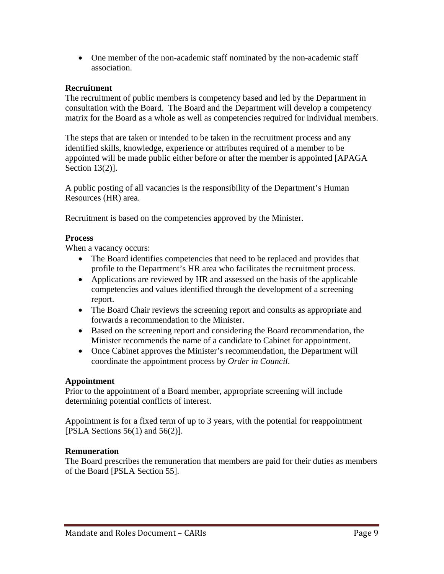One member of the non-academic staff nominated by the non-academic staff association.

# **Recruitment**

The recruitment of public members is competency based and led by the Department in consultation with the Board. The Board and the Department will develop a competency matrix for the Board as a whole as well as competencies required for individual members.

The steps that are taken or intended to be taken in the recruitment process and any identified skills, knowledge, experience or attributes required of a member to be appointed will be made public either before or after the member is appointed [APAGA Section 13(2)].

A public posting of all vacancies is the responsibility of the Department's Human Resources (HR) area.

Recruitment is based on the competencies approved by the Minister.

# **Process**

When a vacancy occurs:

- The Board identifies competencies that need to be replaced and provides that profile to the Department's HR area who facilitates the recruitment process.
- Applications are reviewed by HR and assessed on the basis of the applicable competencies and values identified through the development of a screening report.
- The Board Chair reviews the screening report and consults as appropriate and forwards a recommendation to the Minister.
- Based on the screening report and considering the Board recommendation, the Minister recommends the name of a candidate to Cabinet for appointment.
- Once Cabinet approves the Minister's recommendation, the Department will coordinate the appointment process by *Order in Council*.

# **Appointment**

Prior to the appointment of a Board member, appropriate screening will include determining potential conflicts of interest.

Appointment is for a fixed term of up to 3 years, with the potential for reappointment [PSLA Sections  $56(1)$  and  $56(2)$ ].

# **Remuneration**

The Board prescribes the remuneration that members are paid for their duties as members of the Board [PSLA Section 55].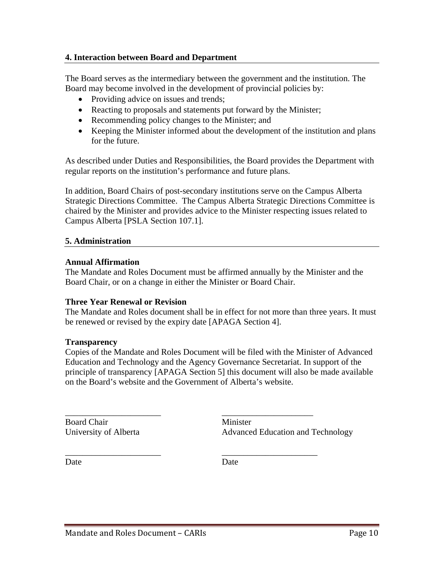## **4. Interaction between Board and Department**

The Board serves as the intermediary between the government and the institution. The Board may become involved in the development of provincial policies by:

- Providing advice on issues and trends;
- Reacting to proposals and statements put forward by the Minister;
- Recommending policy changes to the Minister; and
- Keeping the Minister informed about the development of the institution and plans for the future.

As described under Duties and Responsibilities, the Board provides the Department with regular reports on the institution's performance and future plans.

In addition, Board Chairs of post-secondary institutions serve on the Campus Alberta Strategic Directions Committee. The Campus Alberta Strategic Directions Committee is chaired by the Minister and provides advice to the Minister respecting issues related to Campus Alberta [PSLA Section 107.1].

## **5. Administration**

## **Annual Affirmation**

The Mandate and Roles Document must be affirmed annually by the Minister and the Board Chair, or on a change in either the Minister or Board Chair.

## **Three Year Renewal or Revision**

The Mandate and Roles document shall be in effect for not more than three years. It must be renewed or revised by the expiry date [APAGA Section 4].

## **Transparency**

Copies of the Mandate and Roles Document will be filed with the Minister of Advanced Education and Technology and the Agency Governance Secretariat. In support of the principle of transparency [APAGA Section 5] this document will also be made available on the Board's website and the Government of Alberta's website.

\_\_\_\_\_\_\_\_\_\_\_\_\_\_\_\_\_\_\_\_\_\_ \_\_\_\_\_\_\_\_\_\_\_\_\_\_\_\_\_\_\_\_\_

\_\_\_\_\_\_\_\_\_\_\_\_\_\_\_\_\_\_\_\_\_\_ \_\_\_\_\_\_\_\_\_\_\_\_\_\_\_\_\_\_\_\_\_\_

Board Chair Minister

University of Alberta **Advanced Education and Technology** 

Date Date Date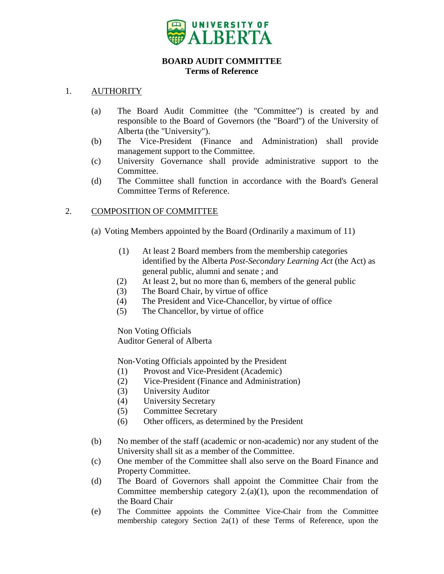

## **BOARD AUDIT COMMITTEE Terms of Reference**

## <span id="page-17-0"></span>1. AUTHORITY

- (a) The Board Audit Committee (the "Committee") is created by and responsible to the Board of Governors (the "Board") of the University of Alberta (the "University").
- (b) The Vice-President (Finance and Administration) shall provide management support to the Committee.
- (c) University Governance shall provide administrative support to the Committee.
- (d) The Committee shall function in accordance with the Board's General Committee Terms of Reference.

# 2. COMPOSITION OF COMMITTEE

- (a) Voting Members appointed by the Board (Ordinarily a maximum of 11)
	- (1) At least 2 Board members from the membership categories identified by the Alberta *Post-Secondary Learning Act* (the Act) as general public, alumni and senate ; and
	- (2) At least 2, but no more than 6, members of the general public
	- (3) The Board Chair, by virtue of office
	- (4) The President and Vice-Chancellor, by virtue of office
	- (5) The Chancellor, by virtue of office

Non Voting Officials Auditor General of Alberta

Non-Voting Officials appointed by the President

- (1) Provost and Vice-President (Academic)
- (2) Vice-President (Finance and Administration)
- (3) University Auditor
- (4) University Secretary
- (5) Committee Secretary
- (6) Other officers, as determined by the President
- (b) No member of the staff (academic or non-academic) nor any student of the University shall sit as a member of the Committee.
- (c) One member of the Committee shall also serve on the Board Finance and Property Committee.
- (d) The Board of Governors shall appoint the Committee Chair from the Committee membership category  $2.(a)(1)$ , upon the recommendation of the Board Chair
- (e) The Committee appoints the Committee Vice-Chair from the Committee membership category Section 2a(1) of these Terms of Reference, upon the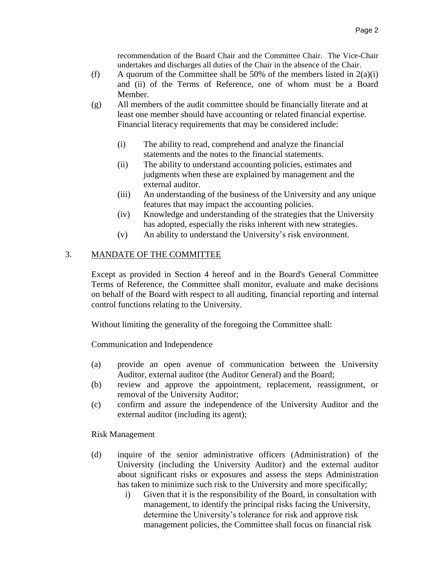recommendation of the Board Chair and the Committee Chair. The Vice-Chair undertakes and discharges all duties of the Chair in the absence of the Chair.

- (f) A quorum of the Committee shall be 50% of the members listed in  $2(a)(i)$ and (ii) of the Terms of Reference, one of whom must be a Board Member.
- (g) All members of the audit committee should be financially literate and at least one member should have accounting or related financial expertise. Financial literacy requirements that may be considered include:
	- (i) The ability to read, comprehend and analyze the financial statements and the notes to the financial statements.
	- (ii) The ability to understand accounting policies, estimates and judgments when these are explained by management and the external auditor.
	- (iii) An understanding of the business of the University and any unique features that may impact the accounting policies.
	- (iv) Knowledge and understanding of the strategies that the University has adopted, especially the risks inherent with new strategies.
	- (v) An ability to understand the University's risk environment.

# 3. MANDATE OF THE COMMITTEE

Except as provided in Section 4 hereof and in the Board's General Committee Terms of Reference, the Committee shall monitor, evaluate and make decisions on behalf of the Board with respect to all auditing, financial reporting and internal control functions relating to the University.

Without limiting the generality of the foregoing the Committee shall:

Communication and Independence

- (a) provide an open avenue of communication between the University Auditor, external auditor (the Auditor General) and the Board;
- (b) review and approve the appointment, replacement, reassignment, or removal of the University Auditor;
- (c) confirm and assure the independence of the University Auditor and the external auditor (including its agent);

Risk Management

- (d) inquire of the senior administrative officers (Administration) of the University (including the University Auditor) and the external auditor about significant risks or exposures and assess the steps Administration has taken to minimize such risk to the University and more specifically;
	- i) Given that it is the responsibility of the Board, in consultation with management, to identify the principal risks facing the University, determine the University's tolerance for risk and approve risk management policies, the Committee shall focus on financial risk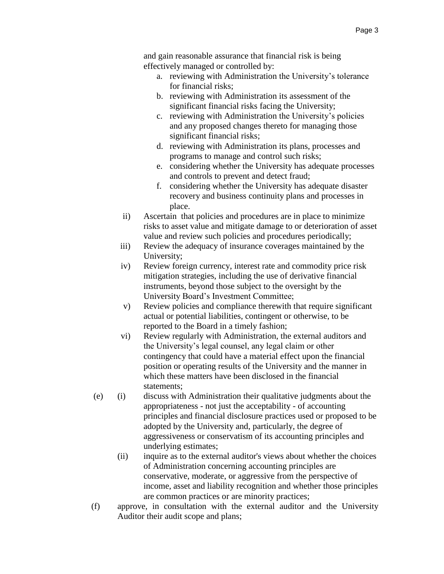and gain reasonable assurance that financial risk is being effectively managed or controlled by:

- a. reviewing with Administration the University's tolerance for financial risks;
- b. reviewing with Administration its assessment of the significant financial risks facing the University;
- c. reviewing with Administration the University's policies and any proposed changes thereto for managing those significant financial risks;
- d. reviewing with Administration its plans, processes and programs to manage and control such risks;
- e. considering whether the University has adequate processes and controls to prevent and detect fraud;
- f. considering whether the University has adequate disaster recovery and business continuity plans and processes in place.
- ii) Ascertain that policies and procedures are in place to minimize risks to asset value and mitigate damage to or deterioration of asset value and review such policies and procedures periodically;
- iii) Review the adequacy of insurance coverages maintained by the University;
- iv) Review foreign currency, interest rate and commodity price risk mitigation strategies, including the use of derivative financial instruments, beyond those subject to the oversight by the University Board's Investment Committee;
- v) Review policies and compliance therewith that require significant actual or potential liabilities, contingent or otherwise, to be reported to the Board in a timely fashion;
- vi) Review regularly with Administration, the external auditors and the University's legal counsel, any legal claim or other contingency that could have a material effect upon the financial position or operating results of the University and the manner in which these matters have been disclosed in the financial statements;
- (e) (i) discuss with Administration their qualitative judgments about the appropriateness - not just the acceptability - of accounting principles and financial disclosure practices used or proposed to be adopted by the University and, particularly, the degree of aggressiveness or conservatism of its accounting principles and underlying estimates;
	- (ii) inquire as to the external auditor's views about whether the choices of Administration concerning accounting principles are conservative, moderate, or aggressive from the perspective of income, asset and liability recognition and whether those principles are common practices or are minority practices;
- (f) approve, in consultation with the external auditor and the University Auditor their audit scope and plans;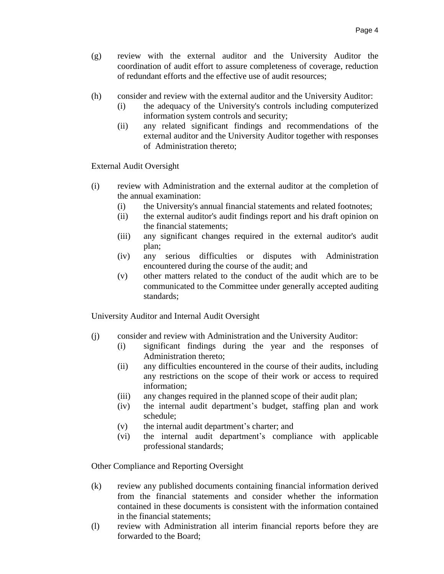- (g) review with the external auditor and the University Auditor the coordination of audit effort to assure completeness of coverage, reduction of redundant efforts and the effective use of audit resources;
- (h) consider and review with the external auditor and the University Auditor:
	- (i) the adequacy of the University's controls including computerized information system controls and security;
	- (ii) any related significant findings and recommendations of the external auditor and the University Auditor together with responses of Administration thereto;

External Audit Oversight

- (i) review with Administration and the external auditor at the completion of the annual examination:
	- (i) the University's annual financial statements and related footnotes;
	- (ii) the external auditor's audit findings report and his draft opinion on the financial statements;
	- (iii) any significant changes required in the external auditor's audit plan;
	- (iv) any serious difficulties or disputes with Administration encountered during the course of the audit; and
	- (v) other matters related to the conduct of the audit which are to be communicated to the Committee under generally accepted auditing standards;

University Auditor and Internal Audit Oversight

- (j) consider and review with Administration and the University Auditor:
	- (i) significant findings during the year and the responses of Administration thereto;
	- (ii) any difficulties encountered in the course of their audits, including any restrictions on the scope of their work or access to required information;
	- (iii) any changes required in the planned scope of their audit plan;
	- (iv) the internal audit department's budget, staffing plan and work schedule;
	- (v) the internal audit department's charter; and
	- (vi) the internal audit department's compliance with applicable professional standards;

Other Compliance and Reporting Oversight

- (k) review any published documents containing financial information derived from the financial statements and consider whether the information contained in these documents is consistent with the information contained in the financial statements;
- (l) review with Administration all interim financial reports before they are forwarded to the Board;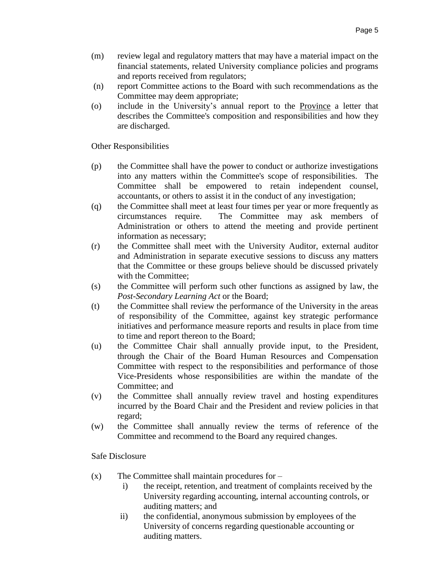- (m) review legal and regulatory matters that may have a material impact on the financial statements, related University compliance policies and programs and reports received from regulators;
- (n) report Committee actions to the Board with such recommendations as the Committee may deem appropriate;
- (o) include in the University's annual report to the Province a letter that describes the Committee's composition and responsibilities and how they are discharged.

Other Responsibilities

- (p) the Committee shall have the power to conduct or authorize investigations into any matters within the Committee's scope of responsibilities. The Committee shall be empowered to retain independent counsel, accountants, or others to assist it in the conduct of any investigation;
- (q) the Committee shall meet at least four times per year or more frequently as circumstances require. The Committee may ask members of Administration or others to attend the meeting and provide pertinent information as necessary;
- (r) the Committee shall meet with the University Auditor, external auditor and Administration in separate executive sessions to discuss any matters that the Committee or these groups believe should be discussed privately with the Committee;
- (s) the Committee will perform such other functions as assigned by law, the *Post-Secondary Learning Act* or the Board;
- (t) the Committee shall review the performance of the University in the areas of responsibility of the Committee, against key strategic performance initiatives and performance measure reports and results in place from time to time and report thereon to the Board;
- (u) the Committee Chair shall annually provide input, to the President, through the Chair of the Board Human Resources and Compensation Committee with respect to the responsibilities and performance of those Vice-Presidents whose responsibilities are within the mandate of the Committee; and
- (v) the Committee shall annually review travel and hosting expenditures incurred by the Board Chair and the President and review policies in that regard;
- (w) the Committee shall annually review the terms of reference of the Committee and recommend to the Board any required changes.

Safe Disclosure

- $(x)$  The Committee shall maintain procedures for
	- i) the receipt, retention, and treatment of complaints received by the University regarding accounting, internal accounting controls, or auditing matters; and
	- ii) the confidential, anonymous submission by employees of the University of concerns regarding questionable accounting or auditing matters.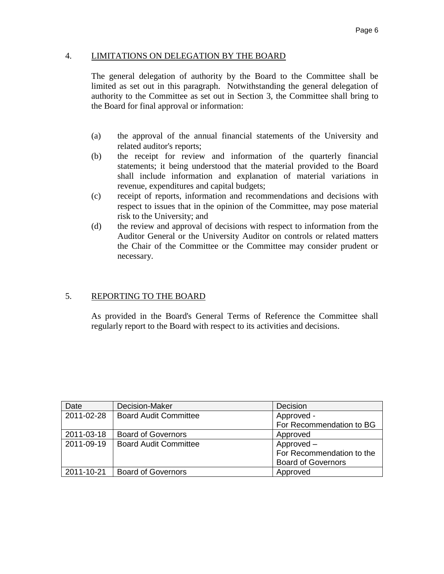## 4. LIMITATIONS ON DELEGATION BY THE BOARD

The general delegation of authority by the Board to the Committee shall be limited as set out in this paragraph. Notwithstanding the general delegation of authority to the Committee as set out in Section 3, the Committee shall bring to the Board for final approval or information:

- (a) the approval of the annual financial statements of the University and related auditor's reports;
- (b) the receipt for review and information of the quarterly financial statements; it being understood that the material provided to the Board shall include information and explanation of material variations in revenue, expenditures and capital budgets;
- (c) receipt of reports, information and recommendations and decisions with respect to issues that in the opinion of the Committee, may pose material risk to the University; and
- (d) the review and approval of decisions with respect to information from the Auditor General or the University Auditor on controls or related matters the Chair of the Committee or the Committee may consider prudent or necessary.

## 5. REPORTING TO THE BOARD

As provided in the Board's General Terms of Reference the Committee shall regularly report to the Board with respect to its activities and decisions.

| Date       | Decision-Maker               | Decision                  |
|------------|------------------------------|---------------------------|
| 2011-02-28 | <b>Board Audit Committee</b> | Approved -                |
|            |                              | For Recommendation to BG  |
| 2011-03-18 | <b>Board of Governors</b>    | Approved                  |
| 2011-09-19 | <b>Board Audit Committee</b> | Approved -                |
|            |                              | For Recommendation to the |
|            |                              | <b>Board of Governors</b> |
| 2011-10-21 | <b>Board of Governors</b>    | Approved                  |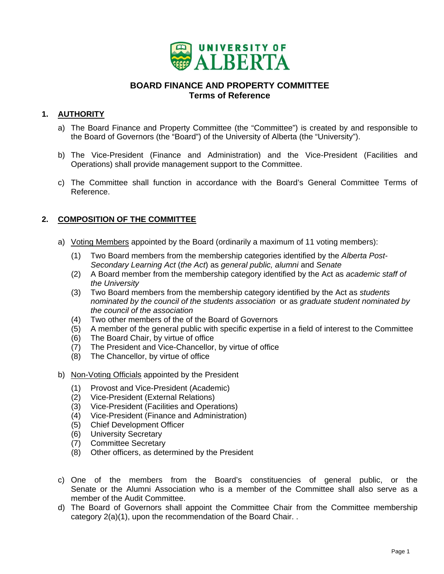

# **BOARD FINANCE AND PROPERTY COMMITTEE Terms of Reference**

# <span id="page-23-0"></span>1. **AUTHORITY**

- a) The Board Finance and Property Committee (the "Committee") is created by and responsible to the Board of Governors (the "Board") of the University of Alberta (the "University").
- b) The Vice-President (Finance and Administration) and the Vice-President (Facilities and Operations) shall provide management support to the Committee.
- c) The Committee shall function in accordance with the Board's General Committee Terms of Reference.

# **2. COMPOSITION OF THE COMMITTEE**

- a) Voting Members appointed by the Board (ordinarily a maximum of 11 voting members):
	- (1) Two Board members from the membership categories identified by the *Alberta Post-Secondary Learning Act* (*the Act*) as *general public, alumni* and *Senate*
	- (2) A Board member from the membership category identified by the Act as *academic staff of the University*
	- (3) Two Board members from the membership category identified by the Act as *students nominated by the council of the students association* or as *graduate student nominated by the council of the association*
	- (4) Two other members of the of the Board of Governors
	- (5) A member of the general public with specific expertise in a field of interest to the Committee
	- (6) The Board Chair, by virtue of office
	- (7) The President and Vice-Chancellor, by virtue of office
	- (8) The Chancellor, by virtue of office
- b) Non-Voting Officials appointed by the President
	- (1) Provost and Vice-President (Academic)
	- (2) Vice-President (External Relations)
	- (3) Vice-President (Facilities and Operations)
	- (4) Vice-President (Finance and Administration)
	- (5) Chief Development Officer
	- (6) University Secretary
	- (7) Committee Secretary
	- (8) Other officers, as determined by the President
- c) One of the members from the Board's constituencies of general public, or the Senate or the Alumni Association who is a member of the Committee shall also serve as a member of the Audit Committee.
- d) The Board of Governors shall appoint the Committee Chair from the Committee membership category 2(a)(1), upon the recommendation of the Board Chair. .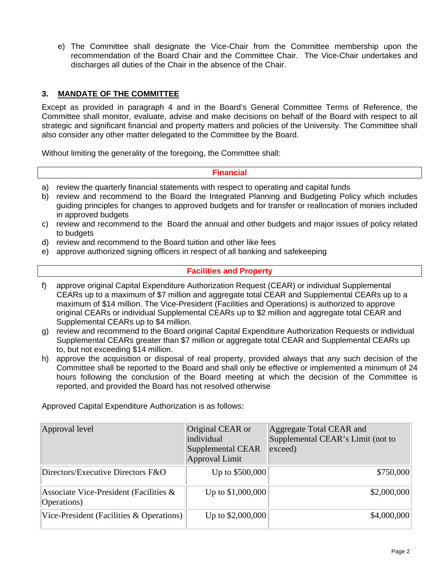e) The Committee shall designate the Vice-Chair from the Committee membership upon the recommendation of the Board Chair and the Committee Chair. The Vice-Chair undertakes and discharges all duties of the Chair in the absence of the Chair.

## **3. MANDATE OF THE COMMITTEE**

Except as provided in paragraph 4 and in the Board's General Committee Terms of Reference, the Committee shall monitor, evaluate, advise and make decisions on behalf of the Board with respect to all strategic and significant financial and property matters and policies of the University. The Committee shall also consider any other matter delegated to the Committee by the Board.

Without limiting the generality of the foregoing, the Committee shall:

## **Financial**

- a) review the quarterly financial statements with respect to operating and capital funds
- b) review and recommend to the Board the Integrated Planning and Budgeting Policy which includes guiding principles for changes to approved budgets and for transfer or reallocation of monies included in approved budgets
- c) review and recommend to the Board the annual and other budgets and major issues of policy related to budgets
- d) review and recommend to the Board tuition and other like fees
- e) approve authorized signing officers in respect of all banking and safekeeping

## **Facilities and Property**

- f) approve original Capital Expenditure Authorization Request (CEAR) or individual Supplemental CEARs up to a maximum of \$7 million and aggregate total CEAR and Supplemental CEARs up to a maximum of \$14 million. The Vice-President (Facilities and Operations) is authorized to approve original CEARs or individual Supplemental CEARs up to \$2 million and aggregate total CEAR and Supplemental CEARs up to \$4 million.
- g) review and recommend to the Board original Capital Expenditure Authorization Requests or individual Supplemental CEARs greater than \$7 million or aggregate total CEAR and Supplemental CEARs up to, but not exceeding \$14 million.
- h) approve the acquisition or disposal of real property, provided always that any such decision of the Committee shall be reported to the Board and shall only be effective or implemented a minimum of 24 hours following the conclusion of the Board meeting at which the decision of the Committee is reported, and provided the Board has not resolved otherwise

Approved Capital Expenditure Authorization is as follows:

| Approval level                                           | Original CEAR or<br>individual<br><b>Supplemental CEAR</b><br>Approval Limit | Aggregate Total CEAR and<br>Supplemental CEAR's Limit (not to<br>exceed) |
|----------------------------------------------------------|------------------------------------------------------------------------------|--------------------------------------------------------------------------|
| Directors/Executive Directors F&O                        | Up to \$500,000                                                              | \$750,000                                                                |
| Associate Vice-President (Facilities $\&$<br>Operations) | Up to \$1,000,000                                                            | \$2,000,000                                                              |
| Vice-President (Facilities & Operations)                 | Up to \$2,000,000                                                            | \$4,000,000                                                              |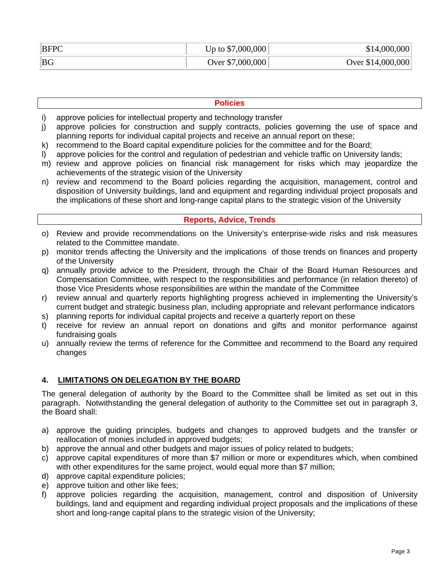| <b>BFPC</b> | Up to $$7,000,000$ | \$14,000,000      |
|-------------|--------------------|-------------------|
| <b>BG</b>   | Over \$7,000,000   | Over \$14,000,000 |

## **Policies**

- i) approve policies for intellectual property and technology transfer
- j) approve policies for construction and supply contracts, policies governing the use of space and planning reports for individual capital projects and receive an annual report on these;
- k) recommend to the Board capital expenditure policies for the committee and for the Board;
- l) approve policies for the control and regulation of pedestrian and vehicle traffic on University lands;
- m) review and approve policies on financial risk management for risks which may jeopardize the achievements of the strategic vision of the University
- n) review and recommend to the Board policies regarding the acquisition, management, control and disposition of University buildings, land and equipment and regarding individual project proposals and the implications of these short and long-range capital plans to the strategic vision of the University

## **Reports, Advice, Trends**

- o) Review and provide recommendations on the University's enterprise-wide risks and risk measures related to the Committee mandate.
- p) monitor trends affecting the University and the implications of those trends on finances and property of the University
- q) annually provide advice to the President, through the Chair of the Board Human Resources and Compensation Committee, with respect to the responsibilities and performance (in relation thereto) of those Vice Presidents whose responsibilities are within the mandate of the Committee
- r) review annual and quarterly reports highlighting progress achieved in implementing the University's current budget and strategic business plan, including appropriate and relevant performance indicators
- s) planning reports for individual capital projects and receive a quarterly report on these
- t) receive for review an annual report on donations and gifts and monitor performance against fundraising goals
- u) annually review the terms of reference for the Committee and recommend to the Board any required changes

# **4. LIMITATIONS ON DELEGATION BY THE BOARD**

The general delegation of authority by the Board to the Committee shall be limited as set out in this paragraph. Notwithstanding the general delegation of authority to the Committee set out in paragraph 3, the Board shall:

- a) approve the guiding principles, budgets and changes to approved budgets and the transfer or reallocation of monies included in approved budgets;
- b) approve the annual and other budgets and major issues of policy related to budgets;
- c) approve capital expenditures of more than \$7 million or more or expenditures which, when combined with other expenditures for the same project, would equal more than \$7 million;
- d) approve capital expenditure policies;
- e) approve tuition and other like fees;
- f) approve policies regarding the acquisition, management, control and disposition of University buildings, land and equipment and regarding individual project proposals and the implications of these short and long-range capital plans to the strategic vision of the University;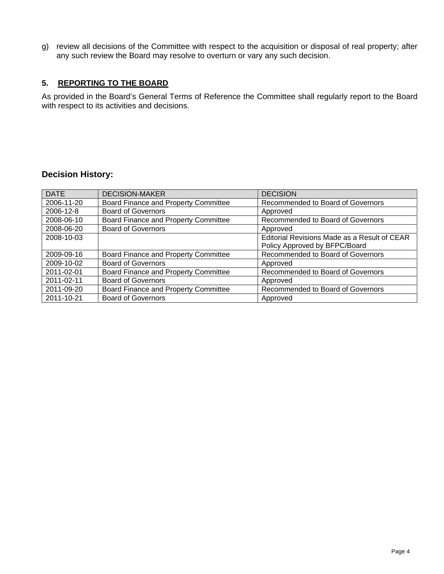g) review all decisions of the Committee with respect to the acquisition or disposal of real property; after any such review the Board may resolve to overturn or vary any such decision.

## **5. REPORTING TO THE BOARD**

As provided in the Board's General Terms of Reference the Committee shall regularly report to the Board with respect to its activities and decisions.

# **Decision History:**

| <b>DATE</b> | <b>DECISION-MAKER</b>                       | <b>DECISION</b>                              |
|-------------|---------------------------------------------|----------------------------------------------|
| 2006-11-20  | Board Finance and Property Committee        | Recommended to Board of Governors            |
| 2006-12-8   | <b>Board of Governors</b>                   | Approved                                     |
| 2008-06-10  | Board Finance and Property Committee        | Recommended to Board of Governors            |
| 2008-06-20  | <b>Board of Governors</b>                   | Approved                                     |
| 2008-10-03  |                                             | Editorial Revisions Made as a Result of CEAR |
|             |                                             | Policy Approved by BFPC/Board                |
| 2009-09-16  | Board Finance and Property Committee        | Recommended to Board of Governors            |
| 2009-10-02  | <b>Board of Governors</b>                   | Approved                                     |
| 2011-02-01  | <b>Board Finance and Property Committee</b> | Recommended to Board of Governors            |
| 2011-02-11  | <b>Board of Governors</b>                   | Approved                                     |
| 2011-09-20  | Board Finance and Property Committee        | Recommended to Board of Governors            |
| 2011-10-21  | <b>Board of Governors</b>                   | Approved                                     |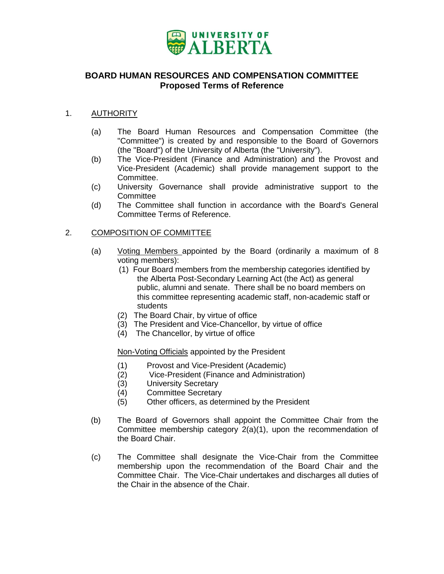

## <span id="page-27-0"></span>**BOARD HUMAN RESOURCES AND COMPENSATION COMMITTEE Proposed Terms of Reference**

## 1. **AUTHORITY**

- (a) The Board Human Resources and Compensation Committee (the "Committee") is created by and responsible to the Board of Governors (the "Board") of the University of Alberta (the "University").
- (b) The Vice-President (Finance and Administration) and the Provost and Vice-President (Academic) shall provide management support to the Committee.
- (c) University Governance shall provide administrative support to the **Committee**
- (d) The Committee shall function in accordance with the Board's General Committee Terms of Reference.

## 2. COMPOSITION OF COMMITTEE

- (a) Voting Members appointed by the Board (ordinarily a maximum of 8 voting members):
	- (1) Four Board members from the membership categories identified by the Alberta Post-Secondary Learning Act (the Act) as general public, alumni and senate. There shall be no board members on this committee representing academic staff, non-academic staff or students
	- (2) The Board Chair, by virtue of office
	- (3) The President and Vice-Chancellor, by virtue of office
	- (4) The Chancellor, by virtue of office

Non-Voting Officials appointed by the President

- (1) Provost and Vice-President (Academic)
- (2) Vice-President (Finance and Administration)
- (3) University Secretary
- (4) Committee Secretary
- (5) Other officers, as determined by the President
- (b) The Board of Governors shall appoint the Committee Chair from the Committee membership category 2(a)(1), upon the recommendation of the Board Chair.
- (c) The Committee shall designate the Vice-Chair from the Committee membership upon the recommendation of the Board Chair and the Committee Chair. The Vice-Chair undertakes and discharges all duties of the Chair in the absence of the Chair.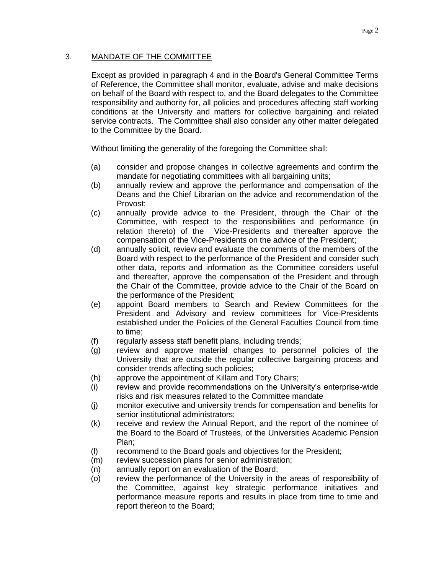## 3. MANDATE OF THE COMMITTEE

Except as provided in paragraph 4 and in the Board's General Committee Terms of Reference, the Committee shall monitor, evaluate, advise and make decisions on behalf of the Board with respect to, and the Board delegates to the Committee responsibility and authority for, all policies and procedures affecting staff working conditions at the University and matters for collective bargaining and related service contracts. The Committee shall also consider any other matter delegated to the Committee by the Board.

Without limiting the generality of the foregoing the Committee shall:

- (a) consider and propose changes in collective agreements and confirm the mandate for negotiating committees with all bargaining units;
- (b) annually review and approve the performance and compensation of the Deans and the Chief Librarian on the advice and recommendation of the Provost;
- (c) annually provide advice to the President, through the Chair of the Committee, with respect to the responsibilities and performance (in relation thereto) of the Vice-Presidents and thereafter approve the compensation of the Vice-Presidents on the advice of the President;
- (d) annually solicit, review and evaluate the comments of the members of the Board with respect to the performance of the President and consider such other data, reports and information as the Committee considers useful and thereafter, approve the compensation of the President and through the Chair of the Committee, provide advice to the Chair of the Board on the performance of the President;
- (e) appoint Board members to Search and Review Committees for the President and Advisory and review committees for Vice-Presidents established under the Policies of the General Faculties Council from time to time;
- (f) regularly assess staff benefit plans, including trends;
- (g) review and approve material changes to personnel policies of the University that are outside the regular collective bargaining process and consider trends affecting such policies;
- (h) approve the appointment of Killam and Tory Chairs;
- (i) review and provide recommendations on the University's enterprise-wide risks and risk measures related to the Committee mandate
- (j) monitor executive and university trends for compensation and benefits for senior institutional administrators;
- (k) receive and review the Annual Report, and the report of the nominee of the Board to the Board of Trustees, of the Universities Academic Pension Plan;
- (l) recommend to the Board goals and objectives for the President;
- (m) review succession plans for senior administration;
- (n) annually report on an evaluation of the Board;
- (o) review the performance of the University in the areas of responsibility of the Committee, against key strategic performance initiatives and performance measure reports and results in place from time to time and report thereon to the Board;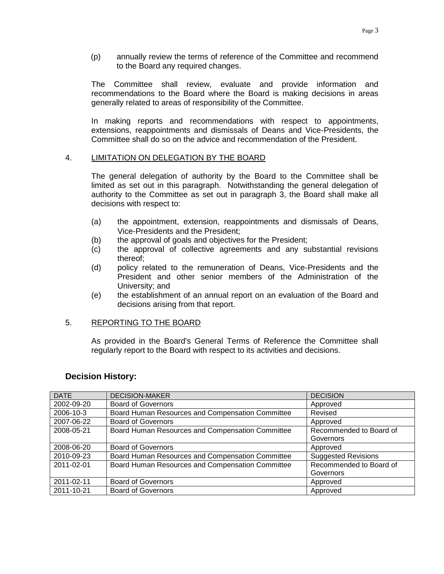(p) annually review the terms of reference of the Committee and recommend to the Board any required changes.

The Committee shall review, evaluate and provide information and recommendations to the Board where the Board is making decisions in areas generally related to areas of responsibility of the Committee.

In making reports and recommendations with respect to appointments, extensions, reappointments and dismissals of Deans and Vice-Presidents, the Committee shall do so on the advice and recommendation of the President.

## 4. LIMITATION ON DELEGATION BY THE BOARD

The general delegation of authority by the Board to the Committee shall be limited as set out in this paragraph. Notwithstanding the general delegation of authority to the Committee as set out in paragraph 3, the Board shall make all decisions with respect to:

- (a) the appointment, extension, reappointments and dismissals of Deans, Vice-Presidents and the President;
- (b) the approval of goals and objectives for the President;
- (c) the approval of collective agreements and any substantial revisions thereof;
- (d) policy related to the remuneration of Deans, Vice-Presidents and the President and other senior members of the Administration of the University; and
- (e) the establishment of an annual report on an evaluation of the Board and decisions arising from that report.

## 5. REPORTING TO THE BOARD

As provided in the Board's General Terms of Reference the Committee shall regularly report to the Board with respect to its activities and decisions.

## **Decision History:**

| <b>DATE</b> | <b>DECISION-MAKER</b>                            | <b>DECISION</b>            |
|-------------|--------------------------------------------------|----------------------------|
| 2002-09-20  | <b>Board of Governors</b>                        | Approved                   |
| 2006-10-3   | Board Human Resources and Compensation Committee | Revised                    |
| 2007-06-22  | <b>Board of Governors</b>                        | Approved                   |
| 2008-05-21  | Board Human Resources and Compensation Committee | Recommended to Board of    |
|             |                                                  | Governors                  |
| 2008-06-20  | <b>Board of Governors</b>                        | Approved                   |
| 2010-09-23  | Board Human Resources and Compensation Committee | <b>Suggested Revisions</b> |
| 2011-02-01  | Board Human Resources and Compensation Committee | Recommended to Board of    |
|             |                                                  | Governors                  |
| 2011-02-11  | <b>Board of Governors</b>                        | Approved                   |
| 2011-10-21  | <b>Board of Governors</b>                        | Approved                   |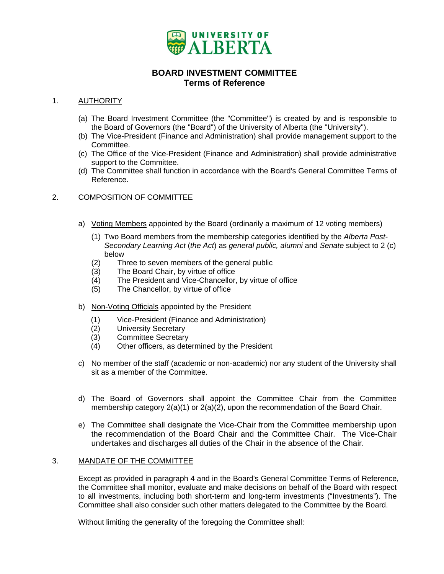

## **BOARD INVESTMENT COMMITTEE Terms of Reference**

## <span id="page-30-0"></span>1. **AUTHORITY**

- (a) The Board Investment Committee (the "Committee") is created by and is responsible to the Board of Governors (the "Board") of the University of Alberta (the "University").
- (b) The Vice-President (Finance and Administration) shall provide management support to the Committee.
- (c) The Office of the Vice-President (Finance and Administration) shall provide administrative support to the Committee.
- (d) The Committee shall function in accordance with the Board's General Committee Terms of Reference.

## 2. COMPOSITION OF COMMITTEE

- a) Voting Members appointed by the Board (ordinarily a maximum of 12 voting members)
	- (1) Two Board members from the membership categories identified by the *Alberta Post-Secondary Learning Act* (*the Act*) as *general public, alumni* and *Senate* subject to 2 (c) below
	- (2) Three to seven members of the general public
	- (3) The Board Chair, by virtue of office
	- (4) The President and Vice-Chancellor, by virtue of office
	- (5) The Chancellor, by virtue of office
- b) Non-Voting Officials appointed by the President
	- (1) Vice-President (Finance and Administration)
	- (2) University Secretary
	- (3) Committee Secretary
	- (4) Other officers, as determined by the President
- c) No member of the staff (academic or non-academic) nor any student of the University shall sit as a member of the Committee.
- d) The Board of Governors shall appoint the Committee Chair from the Committee membership category 2(a)(1) or 2(a)(2), upon the recommendation of the Board Chair.
- e) The Committee shall designate the Vice-Chair from the Committee membership upon the recommendation of the Board Chair and the Committee Chair. The Vice-Chair undertakes and discharges all duties of the Chair in the absence of the Chair.

#### 3. MANDATE OF THE COMMITTEE

Except as provided in paragraph 4 and in the Board's General Committee Terms of Reference, the Committee shall monitor, evaluate and make decisions on behalf of the Board with respect to all investments, including both short-term and long-term investments ("Investments"). The Committee shall also consider such other matters delegated to the Committee by the Board.

Without limiting the generality of the foregoing the Committee shall: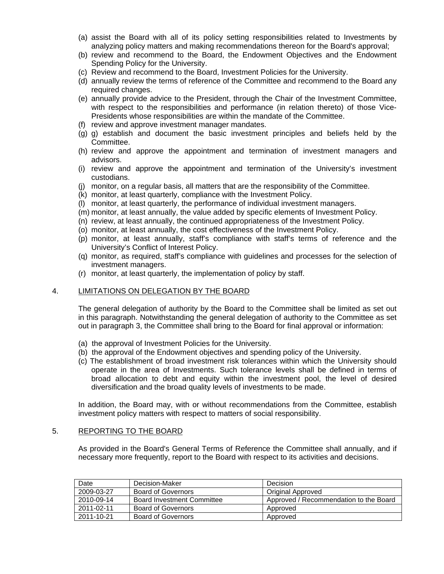- (a) assist the Board with all of its policy setting responsibilities related to Investments by analyzing policy matters and making recommendations thereon for the Board's approval;
- (b) review and recommend to the Board, the Endowment Objectives and the Endowment Spending Policy for the University.
- (c) Review and recommend to the Board, Investment Policies for the University.
- (d) annually review the terms of reference of the Committee and recommend to the Board any required changes.
- (e) annually provide advice to the President, through the Chair of the Investment Committee, with respect to the responsibilities and performance (in relation thereto) of those Vice-Presidents whose responsibilities are within the mandate of the Committee.
- (f) review and approve investment manager mandates.
- (g) g) establish and document the basic investment principles and beliefs held by the Committee.
- (h) review and approve the appointment and termination of investment managers and advisors.
- (i) review and approve the appointment and termination of the University's investment custodians.
- (j) monitor, on a regular basis, all matters that are the responsibility of the Committee.
- (k) monitor, at least quarterly, compliance with the Investment Policy.
- (l) monitor, at least quarterly, the performance of individual investment managers.
- (m) monitor, at least annually, the value added by specific elements of Investment Policy.
- (n) review, at least annually, the continued appropriateness of the Investment Policy.
- (o) monitor, at least annually, the cost effectiveness of the Investment Policy.
- (p) monitor, at least annually, staff's compliance with staff's terms of reference and the University's Conflict of Interest Policy.
- (q) monitor, as required, staff's compliance with guidelines and processes for the selection of investment managers.
- (r) monitor, at least quarterly, the implementation of policy by staff.

#### 4. LIMITATIONS ON DELEGATION BY THE BOARD

The general delegation of authority by the Board to the Committee shall be limited as set out in this paragraph. Notwithstanding the general delegation of authority to the Committee as set out in paragraph 3, the Committee shall bring to the Board for final approval or information:

- (a) the approval of Investment Policies for the University.
- (b) the approval of the Endowment objectives and spending policy of the University.
- (c) The establishment of broad investment risk tolerances within which the University should operate in the area of Investments. Such tolerance levels shall be defined in terms of broad allocation to debt and equity within the investment pool, the level of desired diversification and the broad quality levels of investments to be made.

In addition, the Board may, with or without recommendations from the Committee, establish investment policy matters with respect to matters of social responsibility.

#### 5. REPORTING TO THE BOARD

As provided in the Board's General Terms of Reference the Committee shall annually, and if necessary more frequently, report to the Board with respect to its activities and decisions.

| Date       | Decision-Maker             | Decision                               |
|------------|----------------------------|----------------------------------------|
| 2009-03-27 | <b>Board of Governors</b>  | Original Approved                      |
| 2010-09-14 | Board Investment Committee | Approved / Recommendation to the Board |
| 2011-02-11 | Board of Governors         | Approved                               |
| 2011-10-21 | <b>Board of Governors</b>  | Approved                               |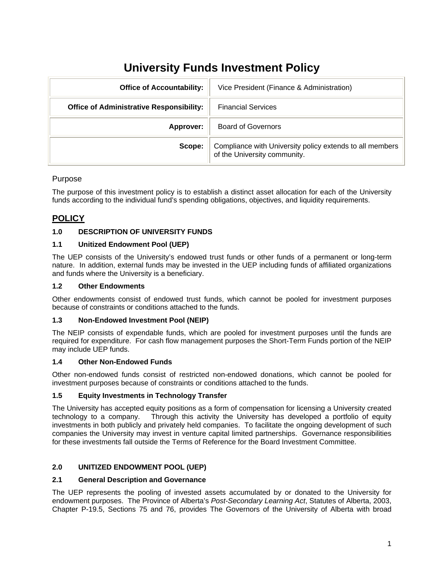# **University Funds Investment Policy**

<span id="page-32-0"></span>

| <b>Office of Accountability:</b>                | Vice President (Finance & Administration)                                                |
|-------------------------------------------------|------------------------------------------------------------------------------------------|
| <b>Office of Administrative Responsibility:</b> | <b>Financial Services</b>                                                                |
| Approver:                                       | <b>Board of Governors</b>                                                                |
| Scope:                                          | Compliance with University policy extends to all members<br>of the University community. |

## Purpose

The purpose of this investment policy is to establish a distinct asset allocation for each of the University funds according to the individual fund's spending obligations, objectives, and liquidity requirements.

# **POLICY**

## **1.0 DESCRIPTION OF UNIVERSITY FUNDS**

## **1.1 Unitized Endowment Pool (UEP)**

The UEP consists of the University's endowed trust funds or other funds of a permanent or long-term nature. In addition, external funds may be invested in the UEP including funds of affiliated organizations and funds where the University is a beneficiary.

#### **1.2 Other Endowments**

Other endowments consist of endowed trust funds, which cannot be pooled for investment purposes because of constraints or conditions attached to the funds.

## **1.3 Non-Endowed Investment Pool (NEIP)**

The NEIP consists of expendable funds, which are pooled for investment purposes until the funds are required for expenditure. For cash flow management purposes the Short-Term Funds portion of the NEIP may include UEP funds.

## **1.4 Other Non-Endowed Funds**

Other non-endowed funds consist of restricted non-endowed donations, which cannot be pooled for investment purposes because of constraints or conditions attached to the funds.

## **1.5 Equity Investments in Technology Transfer**

The University has accepted equity positions as a form of compensation for licensing a University created technology to a company. Through this activity the University has developed a portfolio of equity investments in both publicly and privately held companies. To facilitate the ongoing development of such companies the University may invest in venture capital limited partnerships. Governance responsibilities for these investments fall outside the Terms of Reference for the Board Investment Committee.

## **2.0 UNITIZED ENDOWMENT POOL (UEP)**

## **2.1 General Description and Governance**

The UEP represents the pooling of invested assets accumulated by or donated to the University for endowment purposes. The Province of Alberta's *Post-Secondary Learning Act*, Statutes of Alberta, 2003, Chapter P-19.5, Sections 75 and 76, provides The Governors of the University of Alberta with broad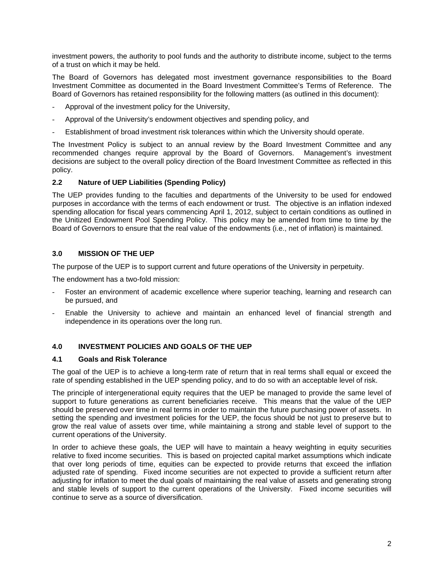investment powers, the authority to pool funds and the authority to distribute income, subject to the terms of a trust on which it may be held.

The Board of Governors has delegated most investment governance responsibilities to the Board Investment Committee as documented in the Board Investment Committee's Terms of Reference. The Board of Governors has retained responsibility for the following matters (as outlined in this document):

- Approval of the investment policy for the University,
- Approval of the University's endowment objectives and spending policy, and
- Establishment of broad investment risk tolerances within which the University should operate.

The Investment Policy is subject to an annual review by the Board Investment Committee and any recommended changes require approval by the Board of Governors. Management's investment decisions are subject to the overall policy direction of the Board Investment Committee as reflected in this policy.

#### **2.2 Nature of UEP Liabilities (Spending Policy)**

The UEP provides funding to the faculties and departments of the University to be used for endowed purposes in accordance with the terms of each endowment or trust. The objective is an inflation indexed spending allocation for fiscal years commencing April 1, 2012, subject to certain conditions as outlined in the Unitized Endowment Pool Spending Policy. This policy may be amended from time to time by the Board of Governors to ensure that the real value of the endowments (i.e., net of inflation) is maintained.

#### **3.0 MISSION OF THE UEP**

The purpose of the UEP is to support current and future operations of the University in perpetuity.

The endowment has a two-fold mission:

- Foster an environment of academic excellence where superior teaching, learning and research can be pursued, and
- Enable the University to achieve and maintain an enhanced level of financial strength and independence in its operations over the long run.

## **4.0 INVESTMENT POLICIES AND GOALS OF THE UEP**

#### **4.1 Goals and Risk Tolerance**

The goal of the UEP is to achieve a long-term rate of return that in real terms shall equal or exceed the rate of spending established in the UEP spending policy, and to do so with an acceptable level of risk.

The principle of intergenerational equity requires that the UEP be managed to provide the same level of support to future generations as current beneficiaries receive. This means that the value of the UEP should be preserved over time in real terms in order to maintain the future purchasing power of assets. In setting the spending and investment policies for the UEP, the focus should be not just to preserve but to grow the real value of assets over time, while maintaining a strong and stable level of support to the current operations of the University.

In order to achieve these goals, the UEP will have to maintain a heavy weighting in equity securities relative to fixed income securities. This is based on projected capital market assumptions which indicate that over long periods of time, equities can be expected to provide returns that exceed the inflation adjusted rate of spending. Fixed income securities are not expected to provide a sufficient return after adjusting for inflation to meet the dual goals of maintaining the real value of assets and generating strong and stable levels of support to the current operations of the University. Fixed income securities will continue to serve as a source of diversification.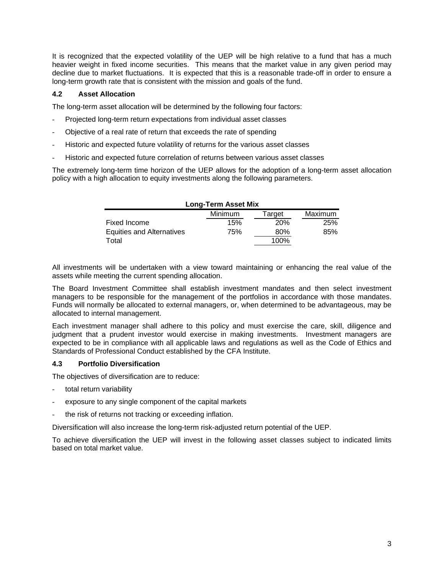It is recognized that the expected volatility of the UEP will be high relative to a fund that has a much heavier weight in fixed income securities. This means that the market value in any given period may decline due to market fluctuations. It is expected that this is a reasonable trade-off in order to ensure a long-term growth rate that is consistent with the mission and goals of the fund.

#### **4.2 Asset Allocation**

The long-term asset allocation will be determined by the following four factors:

- Projected long-term return expectations from individual asset classes
- Objective of a real rate of return that exceeds the rate of spending
- Historic and expected future volatility of returns for the various asset classes
- Historic and expected future correlation of returns between various asset classes

The extremely long-term time horizon of the UEP allows for the adoption of a long-term asset allocation policy with a high allocation to equity investments along the following parameters.

| <b>Long-Term Asset Mix</b> |                |            |         |  |  |
|----------------------------|----------------|------------|---------|--|--|
|                            | <b>Minimum</b> | Target     | Maximum |  |  |
| Fixed Income               | 15%            | <b>20%</b> | 25%     |  |  |
| Equities and Alternatives  | 75%            | 80%        | 85%     |  |  |
| Total                      |                | 100%       |         |  |  |

All investments will be undertaken with a view toward maintaining or enhancing the real value of the assets while meeting the current spending allocation.

The Board Investment Committee shall establish investment mandates and then select investment managers to be responsible for the management of the portfolios in accordance with those mandates. Funds will normally be allocated to external managers, or, when determined to be advantageous, may be allocated to internal management.

Each investment manager shall adhere to this policy and must exercise the care, skill, diligence and judgment that a prudent investor would exercise in making investments. Investment managers are expected to be in compliance with all applicable laws and regulations as well as the Code of Ethics and Standards of Professional Conduct established by the CFA Institute.

#### **4.3 Portfolio Diversification**

The objectives of diversification are to reduce:

- total return variability
- exposure to any single component of the capital markets
- the risk of returns not tracking or exceeding inflation.

Diversification will also increase the long-term risk-adjusted return potential of the UEP.

To achieve diversification the UEP will invest in the following asset classes subject to indicated limits based on total market value.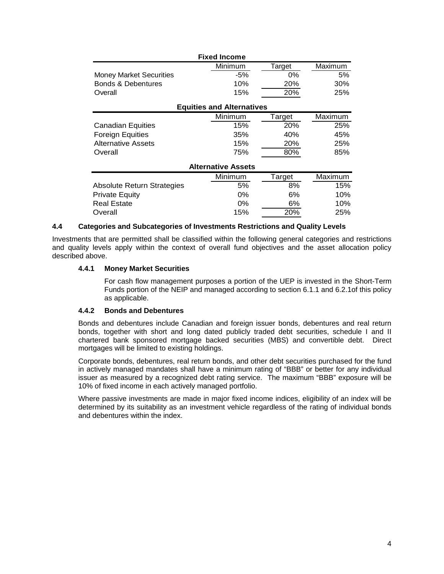|                                   | <b>Fixed Income</b>              |        |         |
|-----------------------------------|----------------------------------|--------|---------|
|                                   | Minimum                          | Target | Maximum |
| <b>Money Market Securities</b>    | -5%                              | $0\%$  | 5%      |
| <b>Bonds &amp; Debentures</b>     | 10%                              | 20%    | 30%     |
| Overall                           | 15%                              | 20%    | 25%     |
|                                   | <b>Equities and Alternatives</b> |        |         |
|                                   | Minimum                          | Target | Maximum |
| Canadian Equities                 | 15%                              | 20%    | 25%     |
| <b>Foreign Equities</b>           | 35%                              | 40%    | 45%     |
| <b>Alternative Assets</b>         | 15%                              | 20%    | 25%     |
| Overall                           | 75%                              | 80%    | 85%     |
|                                   | <b>Alternative Assets</b>        |        |         |
|                                   | Minimum                          | Target | Maximum |
| <b>Absolute Return Strategies</b> | 5%                               | 8%     | 15%     |
| <b>Private Equity</b>             | 0%                               | 6%     | 10%     |
| <b>Real Estate</b>                | $0\%$                            | 6%     | 10%     |
| Overall                           | 15%                              | 20%    | 25%     |

#### **4.4 Categories and Subcategories of Investments Restrictions and Quality Levels**

Investments that are permitted shall be classified within the following general categories and restrictions and quality levels apply within the context of overall fund objectives and the asset allocation policy described above.

#### **4.4.1 Money Market Securities**

For cash flow management purposes a portion of the UEP is invested in the Short-Term Funds portion of the NEIP and managed according to section 6.1.1 and 6.2.1of this policy as applicable.

#### **4.4.2 Bonds and Debentures**

Bonds and debentures include Canadian and foreign issuer bonds, debentures and real return bonds, together with short and long dated publicly traded debt securities, schedule I and II chartered bank sponsored mortgage backed securities (MBS) and convertible debt. Direct mortgages will be limited to existing holdings.

Corporate bonds, debentures, real return bonds, and other debt securities purchased for the fund in actively managed mandates shall have a minimum rating of "BBB" or better for any individual issuer as measured by a recognized debt rating service. The maximum "BBB" exposure will be 10% of fixed income in each actively managed portfolio.

Where passive investments are made in major fixed income indices, eligibility of an index will be determined by its suitability as an investment vehicle regardless of the rating of individual bonds and debentures within the index.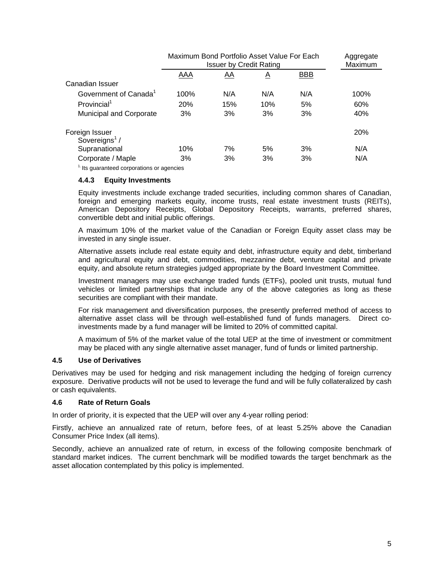| Maximum Bond Portfolio Asset Value For Each<br><b>Issuer by Credit Rating</b> |           |          | Aggregate<br>Maximum |      |
|-------------------------------------------------------------------------------|-----------|----------|----------------------|------|
| AAA                                                                           | <u>AA</u> | <u>A</u> | <b>BBB</b>           |      |
|                                                                               |           |          |                      |      |
| 100%                                                                          | N/A       | N/A      | N/A                  | 100% |
| 20%                                                                           | 15%       | 10%      | 5%                   | 60%  |
| 3%                                                                            | 3%        | 3%       | 3%                   | 40%  |
|                                                                               |           |          |                      | 20%  |
| 10%                                                                           | 7%        | 5%       | 3%                   | N/A  |
| 3%                                                                            | 3%        | 3%       | 3%                   | N/A  |
|                                                                               |           |          |                      |      |

 $<sup>1</sup>$  Its guaranteed corporations or agencies</sup>

#### **4.4.3 Equity Investments**

Equity investments include exchange traded securities, including common shares of Canadian, foreign and emerging markets equity, income trusts, real estate investment trusts (REITs), American Depository Receipts, Global Depository Receipts, warrants, preferred shares, convertible debt and initial public offerings.

A maximum 10% of the market value of the Canadian or Foreign Equity asset class may be invested in any single issuer.

Alternative assets include real estate equity and debt, infrastructure equity and debt, timberland and agricultural equity and debt, commodities, mezzanine debt, venture capital and private equity, and absolute return strategies judged appropriate by the Board Investment Committee.

Investment managers may use exchange traded funds (ETFs), pooled unit trusts, mutual fund vehicles or limited partnerships that include any of the above categories as long as these securities are compliant with their mandate.

For risk management and diversification purposes, the presently preferred method of access to alternative asset class will be through well-established fund of funds managers. Direct coinvestments made by a fund manager will be limited to 20% of committed capital.

A maximum of 5% of the market value of the total UEP at the time of investment or commitment may be placed with any single alternative asset manager, fund of funds or limited partnership.

## **4.5 Use of Derivatives**

Derivatives may be used for hedging and risk management including the hedging of foreign currency exposure. Derivative products will not be used to leverage the fund and will be fully collateralized by cash or cash equivalents.

#### **4.6 Rate of Return Goals**

In order of priority, it is expected that the UEP will over any 4-year rolling period:

Firstly, achieve an annualized rate of return, before fees, of at least 5.25% above the Canadian Consumer Price Index (all items).

Secondly, achieve an annualized rate of return, in excess of the following composite benchmark of standard market indices. The current benchmark will be modified towards the target benchmark as the asset allocation contemplated by this policy is implemented.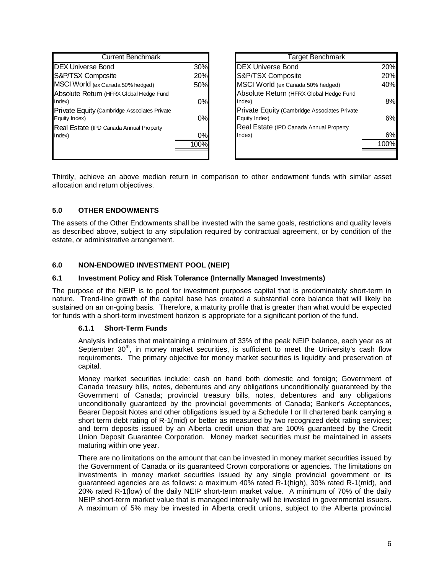| <b>Current Benchmark</b>                     |     |
|----------------------------------------------|-----|
| <b>DEX Universe Bond</b>                     | 30% |
| S&P/TSX Composite                            | 20% |
| MSCI World (ex Canada 50% hedged)            | 50% |
| Absolute Return (HFRX Global Hedge Fund      |     |
| Index)                                       | 0%  |
| Private Equity (Cambridge Associates Private |     |
| Equity Index)                                | 0%  |
| Real Estate (IPD Canada Annual Property      |     |
| Index)                                       | 0%  |
|                                              |     |
|                                              |     |

| <b>Target Benchmark</b>                                       |             |
|---------------------------------------------------------------|-------------|
| <b>DEX Universe Bond</b>                                      | 20%         |
| S&P/TSX Composite                                             | 20%         |
| MSCI World (ex Canada 50% hedged)                             | 40%         |
| Absolute Return (HFRX Global Hedge Fund<br>Index)             | 8%          |
| Private Equity (Cambridge Associates Private<br>Equity Index) | 6%          |
| Real Estate (IPD Canada Annual Property                       |             |
| Index)                                                        | $6^{\circ}$ |
|                                                               |             |
|                                                               |             |

Thirdly, achieve an above median return in comparison to other endowment funds with similar asset allocation and return objectives.

## **5.0 OTHER ENDOWMENTS**

The assets of the Other Endowments shall be invested with the same goals, restrictions and quality levels as described above, subject to any stipulation required by contractual agreement, or by condition of the estate, or administrative arrangement.

#### **6.0 NON-ENDOWED INVESTMENT POOL (NEIP)**

#### **6.1 Investment Policy and Risk Tolerance (Internally Managed Investments)**

The purpose of the NEIP is to pool for investment purposes capital that is predominately short-term in nature. Trend-line growth of the capital base has created a substantial core balance that will likely be sustained on an on-going basis. Therefore, a maturity profile that is greater than what would be expected for funds with a short-term investment horizon is appropriate for a significant portion of the fund.

#### **6.1.1 Short-Term Funds**

Analysis indicates that maintaining a minimum of 33% of the peak NEIP balance, each year as at September 30<sup>th</sup>, in money market securities, is sufficient to meet the University's cash flow requirements. The primary objective for money market securities is liquidity and preservation of capital.

Money market securities include: cash on hand both domestic and foreign; Government of Canada treasury bills, notes, debentures and any obligations unconditionally guaranteed by the Government of Canada; provincial treasury bills, notes, debentures and any obligations unconditionally guaranteed by the provincial governments of Canada; Banker's Acceptances, Bearer Deposit Notes and other obligations issued by a Schedule I or II chartered bank carrying a short term debt rating of R-1(mid) or better as measured by two recognized debt rating services; and term deposits issued by an Alberta credit union that are 100% guaranteed by the Credit Union Deposit Guarantee Corporation. Money market securities must be maintained in assets maturing within one year.

There are no limitations on the amount that can be invested in money market securities issued by the Government of Canada or its guaranteed Crown corporations or agencies. The limitations on investments in money market securities issued by any single provincial government or its guaranteed agencies are as follows: a maximum 40% rated R-1(high), 30% rated R-1(mid), and 20% rated R-1(low) of the daily NEIP short-term market value. A minimum of 70% of the daily NEIP short-term market value that is managed internally will be invested in governmental issuers. A maximum of 5% may be invested in Alberta credit unions, subject to the Alberta provincial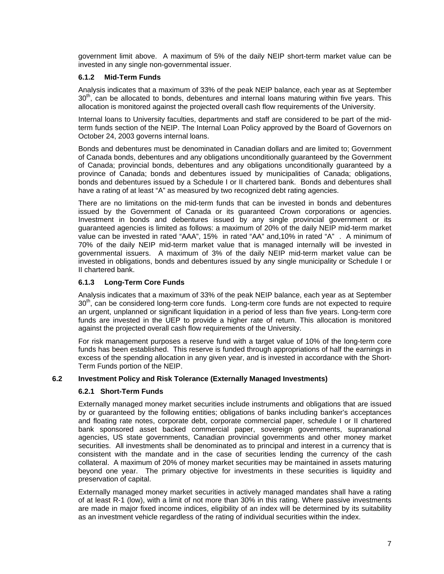government limit above. A maximum of 5% of the daily NEIP short-term market value can be invested in any single non-governmental issuer.

## **6.1.2 Mid-Term Funds**

Analysis indicates that a maximum of 33% of the peak NEIP balance, each year as at September  $30<sup>th</sup>$ , can be allocated to bonds, debentures and internal loans maturing within five years. This allocation is monitored against the projected overall cash flow requirements of the University.

Internal loans to University faculties, departments and staff are considered to be part of the midterm funds section of the NEIP. The Internal Loan Policy approved by the Board of Governors on October 24, 2003 governs internal loans.

Bonds and debentures must be denominated in Canadian dollars and are limited to; Government of Canada bonds, debentures and any obligations unconditionally guaranteed by the Government of Canada; provincial bonds, debentures and any obligations unconditionally guaranteed by a province of Canada; bonds and debentures issued by municipalities of Canada; obligations, bonds and debentures issued by a Schedule I or II chartered bank. Bonds and debentures shall have a rating of at least "A" as measured by two recognized debt rating agencies.

There are no limitations on the mid-term funds that can be invested in bonds and debentures issued by the Government of Canada or its guaranteed Crown corporations or agencies. Investment in bonds and debentures issued by any single provincial government or its guaranteed agencies is limited as follows: a maximum of 20% of the daily NEIP mid-term market value can be invested in rated "AAA", 15% in rated "AA" and,10% in rated "A" . A minimum of 70% of the daily NEIP mid-term market value that is managed internally will be invested in governmental issuers. A maximum of 3% of the daily NEIP mid-term market value can be invested in obligations, bonds and debentures issued by any single municipality or Schedule I or II chartered bank.

## **6.1.3 Long-Term Core Funds**

Analysis indicates that a maximum of 33% of the peak NEIP balance, each year as at September  $30<sup>th</sup>$ , can be considered long-term core funds. Long-term core funds are not expected to require an urgent, unplanned or significant liquidation in a period of less than five years. Long-term core funds are invested in the UEP to provide a higher rate of return. This allocation is monitored against the projected overall cash flow requirements of the University.

For risk management purposes a reserve fund with a target value of 10% of the long-term core funds has been established. This reserve is funded through appropriations of half the earnings in excess of the spending allocation in any given year, and is invested in accordance with the Short-Term Funds portion of the NEIP.

## **6.2 Investment Policy and Risk Tolerance (Externally Managed Investments)**

## **6.2.1 Short-Term Funds**

Externally managed money market securities include instruments and obligations that are issued by or guaranteed by the following entities; obligations of banks including banker's acceptances and floating rate notes, corporate debt, corporate commercial paper, schedule I or II chartered bank sponsored asset backed commercial paper, sovereign governments, supranational agencies, US state governments, Canadian provincial governments and other money market securities. All investments shall be denominated as to principal and interest in a currency that is consistent with the mandate and in the case of securities lending the currency of the cash collateral. A maximum of 20% of money market securities may be maintained in assets maturing beyond one year. The primary objective for investments in these securities is liquidity and preservation of capital.

Externally managed money market securities in actively managed mandates shall have a rating of at least R-1 (low), with a limit of not more than 30% in this rating. Where passive investments are made in major fixed income indices, eligibility of an index will be determined by its suitability as an investment vehicle regardless of the rating of individual securities within the index.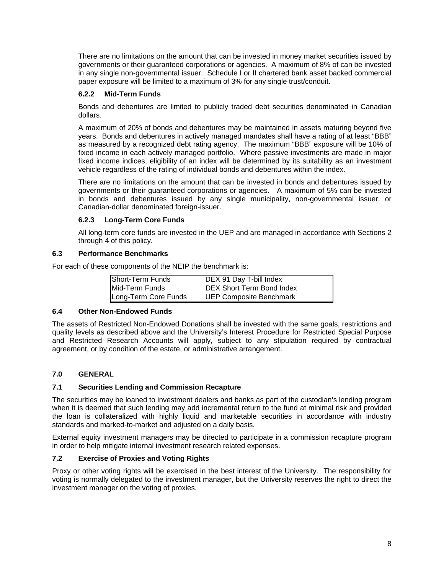There are no limitations on the amount that can be invested in money market securities issued by governments or their guaranteed corporations or agencies. A maximum of 8% of can be invested in any single non-governmental issuer. Schedule I or II chartered bank asset backed commercial paper exposure will be limited to a maximum of 3% for any single trust/conduit.

## **6.2.2 Mid-Term Funds**

Bonds and debentures are limited to publicly traded debt securities denominated in Canadian dollars.

A maximum of 20% of bonds and debentures may be maintained in assets maturing beyond five years. Bonds and debentures in actively managed mandates shall have a rating of at least "BBB" as measured by a recognized debt rating agency. The maximum "BBB" exposure will be 10% of fixed income in each actively managed portfolio. Where passive investments are made in major fixed income indices, eligibility of an index will be determined by its suitability as an investment vehicle regardless of the rating of individual bonds and debentures within the index.

There are no limitations on the amount that can be invested in bonds and debentures issued by governments or their guaranteed corporations or agencies. A maximum of 5% can be invested in bonds and debentures issued by any single municipality, non-governmental issuer, or Canadian-dollar denominated foreign-issuer.

## **6.2.3 Long-Term Core Funds**

All long-term core funds are invested in the UEP and are managed in accordance with Sections 2 through 4 of this policy.

## **6.3 Performance Benchmarks**

For each of these components of the NEIP the benchmark is:

| Short-Term Funds     | DEX 91 Day T-bill Index        |
|----------------------|--------------------------------|
| Mid-Term Funds       | DEX Short Term Bond Index      |
| Long-Term Core Funds | <b>UEP Composite Benchmark</b> |

## **6.4 Other Non-Endowed Funds**

The assets of Restricted Non-Endowed Donations shall be invested with the same goals, restrictions and quality levels as described above and the University's Interest Procedure for Restricted Special Purpose and Restricted Research Accounts will apply, subject to any stipulation required by contractual agreement, or by condition of the estate, or administrative arrangement.

## **7.0 GENERAL**

## **7.1 Securities Lending and Commission Recapture**

The securities may be loaned to investment dealers and banks as part of the custodian's lending program when it is deemed that such lending may add incremental return to the fund at minimal risk and provided the loan is collateralized with highly liquid and marketable securities in accordance with industry standards and marked-to-market and adjusted on a daily basis.

External equity investment managers may be directed to participate in a commission recapture program in order to help mitigate internal investment research related expenses.

## **7.2 Exercise of Proxies and Voting Rights**

Proxy or other voting rights will be exercised in the best interest of the University. The responsibility for voting is normally delegated to the investment manager, but the University reserves the right to direct the investment manager on the voting of proxies.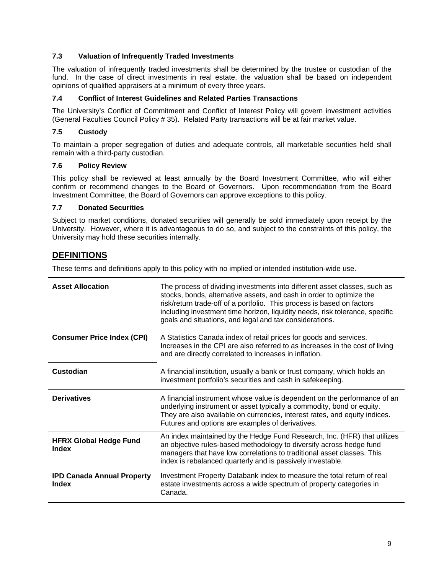## **7.3 Valuation of Infrequently Traded Investments**

The valuation of infrequently traded investments shall be determined by the trustee or custodian of the fund. In the case of direct investments in real estate, the valuation shall be based on independent opinions of qualified appraisers at a minimum of every three years.

#### **7.4 Conflict of Interest Guidelines and Related Parties Transactions**

The University's Conflict of Commitment and Conflict of Interest Policy will govern investment activities (General Faculties Council Policy # 35). Related Party transactions will be at fair market value.

## **7.5 Custody**

To maintain a proper segregation of duties and adequate controls, all marketable securities held shall remain with a third-party custodian.

#### **7.6 Policy Review**

This policy shall be reviewed at least annually by the Board Investment Committee, who will either confirm or recommend changes to the Board of Governors. Upon recommendation from the Board Investment Committee, the Board of Governors can approve exceptions to this policy.

#### **7.7 Donated Securities**

Subject to market conditions, donated securities will generally be sold immediately upon receipt by the University. However, where it is advantageous to do so, and subject to the constraints of this policy, the University may hold these securities internally.

# **DEFINITIONS**

These terms and definitions apply to this policy with no implied or intended institution-wide use.

| <b>Asset Allocation</b>                    | The process of dividing investments into different asset classes, such as<br>stocks, bonds, alternative assets, and cash in order to optimize the<br>risk/return trade-off of a portfolio. This process is based on factors<br>including investment time horizon, liquidity needs, risk tolerance, specific<br>goals and situations, and legal and tax considerations. |  |
|--------------------------------------------|------------------------------------------------------------------------------------------------------------------------------------------------------------------------------------------------------------------------------------------------------------------------------------------------------------------------------------------------------------------------|--|
| <b>Consumer Price Index (CPI)</b>          | A Statistics Canada index of retail prices for goods and services.<br>Increases in the CPI are also referred to as increases in the cost of living<br>and are directly correlated to increases in inflation.                                                                                                                                                           |  |
| Custodian                                  | A financial institution, usually a bank or trust company, which holds an<br>investment portfolio's securities and cash in safekeeping.                                                                                                                                                                                                                                 |  |
| <b>Derivatives</b>                         | A financial instrument whose value is dependent on the performance of an<br>underlying instrument or asset typically a commodity, bond or equity.<br>They are also available on currencies, interest rates, and equity indices.<br>Futures and options are examples of derivatives.                                                                                    |  |
| <b>HFRX Global Hedge Fund</b><br>Index     | An index maintained by the Hedge Fund Research, Inc. (HFR) that utilizes<br>an objective rules-based methodology to diversify across hedge fund<br>managers that have low correlations to traditional asset classes. This<br>index is rebalanced quarterly and is passively investable.                                                                                |  |
| <b>IPD Canada Annual Property</b><br>Index | Investment Property Databank index to measure the total return of real<br>estate investments across a wide spectrum of property categories in<br>Canada.                                                                                                                                                                                                               |  |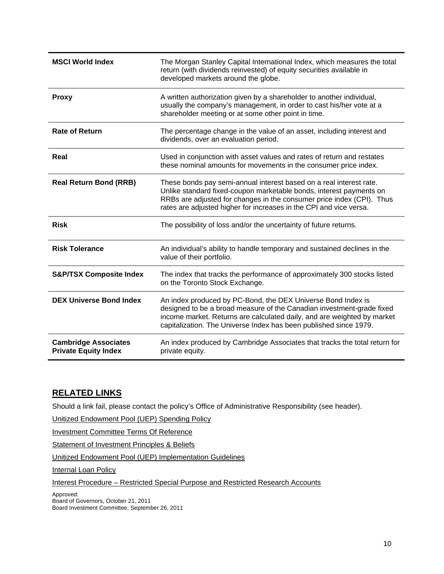| <b>MSCI World Index</b>                                    | The Morgan Stanley Capital International Index, which measures the total<br>return (with dividends reinvested) of equity securities available in<br>developed markets around the globe.                                                                                                   |  |
|------------------------------------------------------------|-------------------------------------------------------------------------------------------------------------------------------------------------------------------------------------------------------------------------------------------------------------------------------------------|--|
| <b>Proxy</b>                                               | A written authorization given by a shareholder to another individual,<br>usually the company's management, in order to cast his/her vote at a<br>shareholder meeting or at some other point in time.                                                                                      |  |
| <b>Rate of Return</b>                                      | The percentage change in the value of an asset, including interest and<br>dividends, over an evaluation period.                                                                                                                                                                           |  |
| Real                                                       | Used in conjunction with asset values and rates of return and restates<br>these nominal amounts for movements in the consumer price index.                                                                                                                                                |  |
| <b>Real Return Bond (RRB)</b>                              | These bonds pay semi-annual interest based on a real interest rate.<br>Unlike standard fixed-coupon marketable bonds, interest payments on<br>RRBs are adjusted for changes in the consumer price index (CPI). Thus<br>rates are adjusted higher for increases in the CPI and vice versa. |  |
| <b>Risk</b>                                                | The possibility of loss and/or the uncertainty of future returns.                                                                                                                                                                                                                         |  |
| <b>Risk Tolerance</b>                                      | An individual's ability to handle temporary and sustained declines in the<br>value of their portfolio.                                                                                                                                                                                    |  |
| <b>S&amp;P/TSX Composite Index</b>                         | The index that tracks the performance of approximately 300 stocks listed<br>on the Toronto Stock Exchange.                                                                                                                                                                                |  |
| <b>DEX Universe Bond Index</b>                             | An index produced by PC-Bond, the DEX Universe Bond Index is<br>designed to be a broad measure of the Canadian investment-grade fixed<br>income market. Returns are calculated daily, and are weighted by market<br>capitalization. The Universe Index has been published since 1979.     |  |
| <b>Cambridge Associates</b><br><b>Private Equity Index</b> | An index produced by Cambridge Associates that tracks the total return for<br>private equity.                                                                                                                                                                                             |  |

# **RELATED LINKS**

Should a link fail, please contact the policy's Office of Administrative Responsibility (see header).

Unitized Endowment Pool (UEP) Spending Policy

Investment Committee Terms Of Reference

Statement of Investment Principles & Beliefs

Unitized Endowment Pool (UEP) Implementation Guidelines

**Internal Loan Policy** 

Interest Procedure – Restricted Special Purpose and Restricted Research Accounts

Approved: Board of Governors, October 21, 2011

Board Investment Committee, September 26, 2011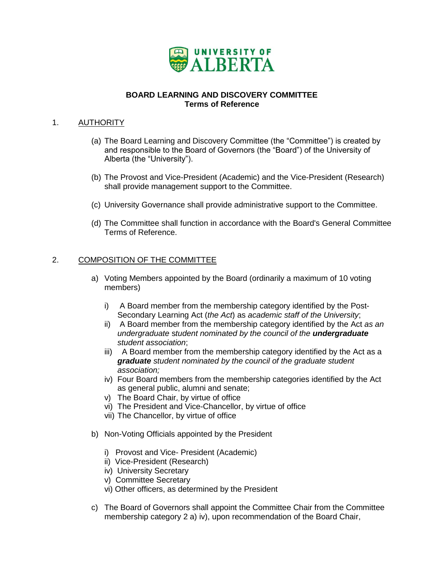

## **BOARD LEARNING AND DISCOVERY COMMITTEE Terms of Reference**

## <span id="page-42-0"></span>1. **AUTHORITY**

- (a) The Board Learning and Discovery Committee (the "Committee") is created by and responsible to the Board of Governors (the "Board") of the University of Alberta (the "University").
- (b) The Provost and Vice-President (Academic) and the Vice-President (Research) shall provide management support to the Committee.
- (c) University Governance shall provide administrative support to the Committee.
- (d) The Committee shall function in accordance with the Board's General Committee Terms of Reference.

## 2. COMPOSITION OF THE COMMITTEE

- a) Voting Members appointed by the Board (ordinarily a maximum of 10 voting members)
	- i) A Board member from the membership category identified by the Post-Secondary Learning Act (*the Act*) as *academic staff of the University*;
	- ii) A Board member from the membership category identified by the Act *as an undergraduate* s*tudent nominated by the council of the undergraduate student association*;
	- iii) A Board member from the membership category identified by the Act as a *graduate student nominated by the council of the graduate student association;*
	- iv) Four Board members from the membership categories identified by the Act as general public, alumni and senate;
	- v) The Board Chair, by virtue of office
	- vi) The President and Vice-Chancellor, by virtue of office
	- vii) The Chancellor, by virtue of office
- b) Non-Voting Officials appointed by the President
	- i) Provost and Vice- President (Academic)
	- ii) Vice-President (Research)
	- iv) University Secretary
	- v) Committee Secretary
	- vi) Other officers, as determined by the President
- c) The Board of Governors shall appoint the Committee Chair from the Committee membership category 2 a) iv), upon recommendation of the Board Chair,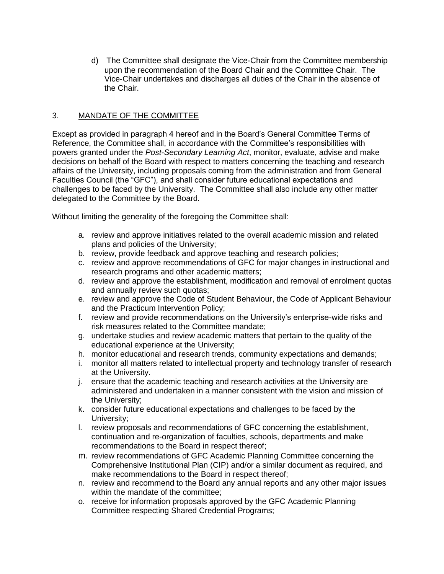d) The Committee shall designate the Vice-Chair from the Committee membership upon the recommendation of the Board Chair and the Committee Chair. The Vice-Chair undertakes and discharges all duties of the Chair in the absence of the Chair.

## 3. MANDATE OF THE COMMITTEE

Except as provided in paragraph 4 hereof and in the Board's General Committee Terms of Reference, the Committee shall, in accordance with the Committee's responsibilities with powers granted under the *Post-Secondary Learning Act*, monitor, evaluate, advise and make decisions on behalf of the Board with respect to matters concerning the teaching and research affairs of the University, including proposals coming from the administration and from General Faculties Council (the "GFC"), and shall consider future educational expectations and challenges to be faced by the University. The Committee shall also include any other matter delegated to the Committee by the Board.

Without limiting the generality of the foregoing the Committee shall:

- a. review and approve initiatives related to the overall academic mission and related plans and policies of the University;
- b. review, provide feedback and approve teaching and research policies;
- c. review and approve recommendations of GFC for major changes in instructional and research programs and other academic matters;
- d. review and approve the establishment, modification and removal of enrolment quotas and annually review such quotas;
- e. review and approve the Code of Student Behaviour, the Code of Applicant Behaviour and the Practicum Intervention Policy;
- f. review and provide recommendations on the University's enterprise-wide risks and risk measures related to the Committee mandate;
- g. undertake studies and review academic matters that pertain to the quality of the educational experience at the University;
- h. monitor educational and research trends, community expectations and demands;
- i. monitor all matters related to intellectual property and technology transfer of research at the University.
- j. ensure that the academic teaching and research activities at the University are administered and undertaken in a manner consistent with the vision and mission of the University;
- k. consider future educational expectations and challenges to be faced by the University;
- l. review proposals and recommendations of GFC concerning the establishment, continuation and re-organization of faculties, schools, departments and make recommendations to the Board in respect thereof;
- m. review recommendations of GFC Academic Planning Committee concerning the Comprehensive Institutional Plan (CIP) and/or a similar document as required, and make recommendations to the Board in respect thereof;
- n. review and recommend to the Board any annual reports and any other major issues within the mandate of the committee;
- o. receive for information proposals approved by the GFC Academic Planning Committee respecting Shared Credential Programs;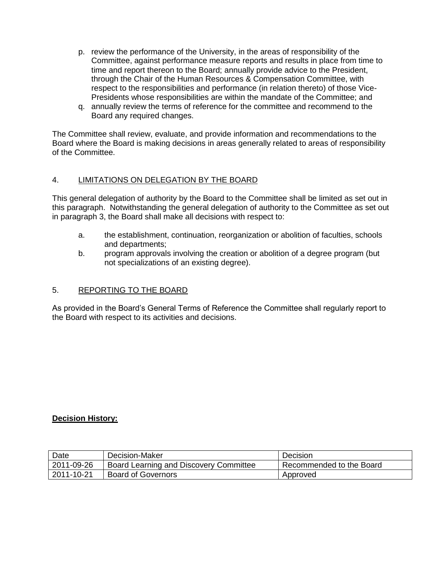- p. review the performance of the University, in the areas of responsibility of the Committee, against performance measure reports and results in place from time to time and report thereon to the Board; annually provide advice to the President, through the Chair of the Human Resources & Compensation Committee, with respect to the responsibilities and performance (in relation thereto) of those Vice-Presidents whose responsibilities are within the mandate of the Committee; and
- q. annually review the terms of reference for the committee and recommend to the Board any required changes.

The Committee shall review, evaluate, and provide information and recommendations to the Board where the Board is making decisions in areas generally related to areas of responsibility of the Committee.

## 4. LIMITATIONS ON DELEGATION BY THE BOARD

This general delegation of authority by the Board to the Committee shall be limited as set out in this paragraph. Notwithstanding the general delegation of authority to the Committee as set out in paragraph 3, the Board shall make all decisions with respect to:

- a. the establishment, continuation, reorganization or abolition of faculties, schools and departments;
- b. program approvals involving the creation or abolition of a degree program (but not specializations of an existing degree).

## 5. REPORTING TO THE BOARD

As provided in the Board's General Terms of Reference the Committee shall regularly report to the Board with respect to its activities and decisions.

## **Decision History:**

| Date       | Decision-Maker                         | Decision                 |
|------------|----------------------------------------|--------------------------|
| 2011-09-26 | Board Learning and Discovery Committee | Recommended to the Board |
| 2011-10-21 | <b>Board of Governors</b>              | Approved                 |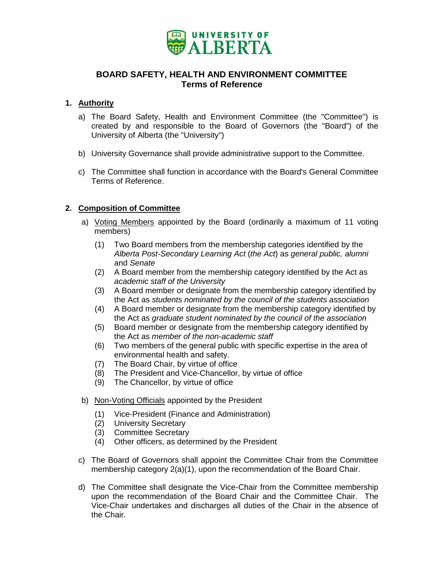

## **BOARD SAFETY, HEALTH AND ENVIRONMENT COMMITTEE Terms of Reference**

## <span id="page-45-0"></span>**1. Authority**

- a) The Board Safety, Health and Environment Committee (the "Committee") is created by and responsible to the Board of Governors (the "Board") of the University of Alberta (the "University")
- b) University Governance shall provide administrative support to the Committee.
- c) The Committee shall function in accordance with the Board's General Committee Terms of Reference.

## **2. Composition of Committee**

- a) Voting Members appointed by the Board (ordinarily a maximum of 11 voting members)
	- (1) Two Board members from the membership categories identified by the *Alberta Post-Secondary Learning Act* (*the Act*) as *general public, alumni*  and *Senate*
	- (2) A Board member from the membership category identified by the Act as *academic staff of the University*
	- (3) A Board member or designate from the membership category identified by the Act as *students nominated by the council of the students association*
	- (4) A Board member or designate from the membership category identified by the Act as *graduate student nominated by the council of the association*
	- (5) Board member or designate from the membership category identified by the Act as *member of the non-academic staff*
	- (6) Two members of the general public with specific expertise in the area of environmental health and safety.
	- (7) The Board Chair, by virtue of office
	- (8) The President and Vice-Chancellor, by virtue of office
	- (9) The Chancellor, by virtue of office
- b) Non-Voting Officials appointed by the President
	- (1) Vice-President (Finance and Administration)
	- (2) University Secretary
	- (3) Committee Secretary
	- (4) Other officers, as determined by the President
- c) The Board of Governors shall appoint the Committee Chair from the Committee membership category 2(a)(1), upon the recommendation of the Board Chair.
- d) The Committee shall designate the Vice-Chair from the Committee membership upon the recommendation of the Board Chair and the Committee Chair. The Vice-Chair undertakes and discharges all duties of the Chair in the absence of the Chair.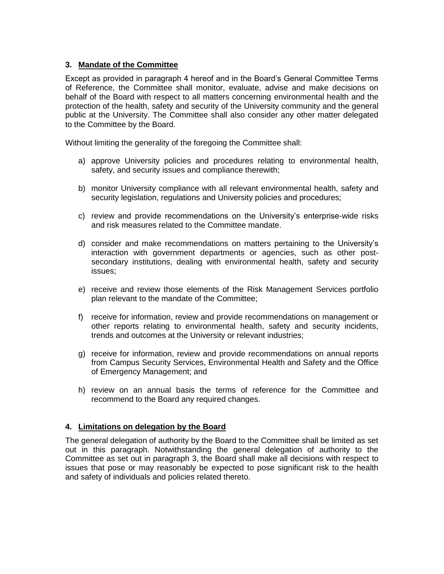## **3. Mandate of the Committee**

Except as provided in paragraph 4 hereof and in the Board's General Committee Terms of Reference, the Committee shall monitor, evaluate, advise and make decisions on behalf of the Board with respect to all matters concerning environmental health and the protection of the health, safety and security of the University community and the general public at the University. The Committee shall also consider any other matter delegated to the Committee by the Board.

Without limiting the generality of the foregoing the Committee shall:

- a) approve University policies and procedures relating to environmental health, safety, and security issues and compliance therewith;
- b) monitor University compliance with all relevant environmental health, safety and security legislation, regulations and University policies and procedures;
- c) review and provide recommendations on the University's enterprise-wide risks and risk measures related to the Committee mandate.
- d) consider and make recommendations on matters pertaining to the University's interaction with government departments or agencies, such as other postsecondary institutions, dealing with environmental health, safety and security issues;
- e) receive and review those elements of the Risk Management Services portfolio plan relevant to the mandate of the Committee;
- f) receive for information, review and provide recommendations on management or other reports relating to environmental health, safety and security incidents, trends and outcomes at the University or relevant industries;
- g) receive for information, review and provide recommendations on annual reports from Campus Security Services, Environmental Health and Safety and the Office of Emergency Management; and
- h) review on an annual basis the terms of reference for the Committee and recommend to the Board any required changes.

## **4. Limitations on delegation by the Board**

The general delegation of authority by the Board to the Committee shall be limited as set out in this paragraph. Notwithstanding the general delegation of authority to the Committee as set out in paragraph 3, the Board shall make all decisions with respect to issues that pose or may reasonably be expected to pose significant risk to the health and safety of individuals and policies related thereto.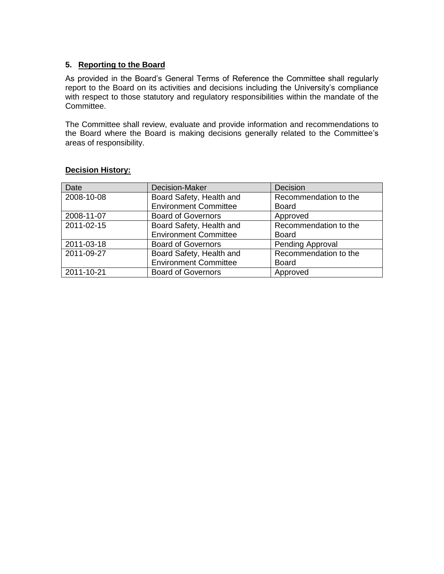## **5. Reporting to the Board**

As provided in the Board's General Terms of Reference the Committee shall regularly report to the Board on its activities and decisions including the University's compliance with respect to those statutory and regulatory responsibilities within the mandate of the Committee.

The Committee shall review, evaluate and provide information and recommendations to the Board where the Board is making decisions generally related to the Committee's areas of responsibility.

| Date       | <b>Decision-Maker</b>                             | Decision              |
|------------|---------------------------------------------------|-----------------------|
| 2008-10-08 | Board Safety, Health and                          | Recommendation to the |
|            | <b>Environment Committee</b>                      | <b>Board</b>          |
| 2008-11-07 | <b>Board of Governors</b><br>Approved             |                       |
| 2011-02-15 | Recommendation to the<br>Board Safety, Health and |                       |
|            | <b>Environment Committee</b>                      | <b>Board</b>          |
| 2011-03-18 | Pending Approval<br><b>Board of Governors</b>     |                       |
| 2011-09-27 | Board Safety, Health and                          | Recommendation to the |
|            | <b>Environment Committee</b>                      | <b>Board</b>          |
| 2011-10-21 | <b>Board of Governors</b><br>Approved             |                       |

## **Decision History:**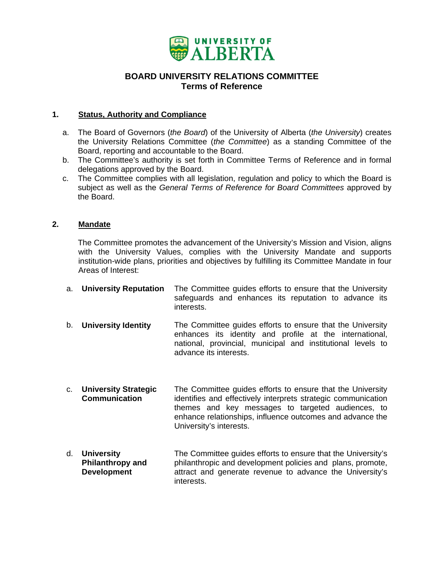

## **BOARD UNIVERSITY RELATIONS COMMITTEE Terms of Reference**

## <span id="page-48-0"></span>**1. Status, Authority and Compliance**

- a. The Board of Governors (*the Board*) of the University of Alberta (*the University*) creates the University Relations Committee (*the Committee*) as a standing Committee of the Board, reporting and accountable to the Board.
- b. The Committee's authority is set forth in Committee Terms of Reference and in formal delegations approved by the Board.
- c. The Committee complies with all legislation, regulation and policy to which the Board is subject as well as the *General Terms of Reference for Board Committees* approved by the Board.

## **2. Mandate**

The Committee promotes the advancement of the University's Mission and Vision, aligns with the University Values, complies with the University Mandate and supports institution-wide plans, priorities and objectives by fulfilling its Committee Mandate in four Areas of Interest:

- a. **University Reputation** The Committee guides efforts to ensure that the University safeguards and enhances its reputation to advance its interests.
- b. **University Identity** The Committee guides efforts to ensure that the University enhances its identity and profile at the international, national, provincial, municipal and institutional levels to advance its interests.
- c. **University Strategic Communication**  The Committee guides efforts to ensure that the University identifies and effectively interprets strategic communication themes and key messages to targeted audiences, to enhance relationships, influence outcomes and advance the University's interests.
- d. **University Philanthropy and Development**  The Committee guides efforts to ensure that the University's philanthropic and development policies and plans, promote, attract and generate revenue to advance the University's interests.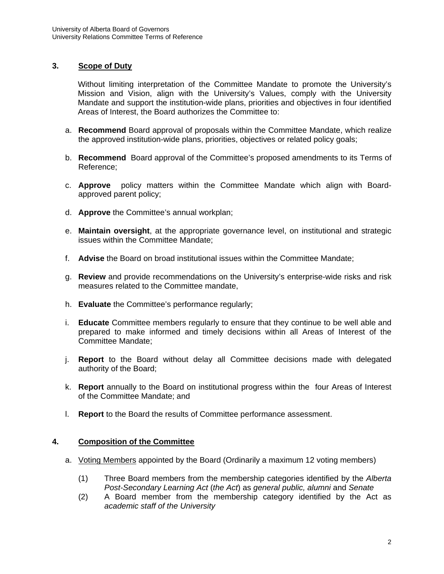## **3. Scope of Duty**

Without limiting interpretation of the Committee Mandate to promote the University's Mission and Vision, align with the University's Values, comply with the University Mandate and support the institution-wide plans, priorities and objectives in four identified Areas of Interest, the Board authorizes the Committee to:

- a. **Recommend** Board approval of proposals within the Committee Mandate, which realize the approved institution-wide plans, priorities, objectives or related policy goals;
- b. **Recommend** Board approval of the Committee's proposed amendments to its Terms of Reference;
- c. **Approve** policy matters within the Committee Mandate which align with Boardapproved parent policy;
- d. **Approve** the Committee's annual workplan;
- e. **Maintain oversight**, at the appropriate governance level, on institutional and strategic issues within the Committee Mandate;
- f. **Advise** the Board on broad institutional issues within the Committee Mandate;
- g. **Review** and provide recommendations on the University's enterprise-wide risks and risk measures related to the Committee mandate,
- h. **Evaluate** the Committee's performance regularly;
- i. **Educate** Committee members regularly to ensure that they continue to be well able and prepared to make informed and timely decisions within all Areas of Interest of the Committee Mandate;
- j. **Report** to the Board without delay all Committee decisions made with delegated authority of the Board;
- k. **Report** annually to the Board on institutional progress within the four Areas of Interest of the Committee Mandate; and
- l. **Report** to the Board the results of Committee performance assessment.

## **4. Composition of the Committee**

- a. Voting Members appointed by the Board (Ordinarily a maximum 12 voting members)
	- (1) Three Board members from the membership categories identified by the *Alberta Post-Secondary Learning Act* (*the Act*) as *general public, alumni* and *Senate*
	- (2) A Board member from the membership category identified by the Act as *academic staff of the University*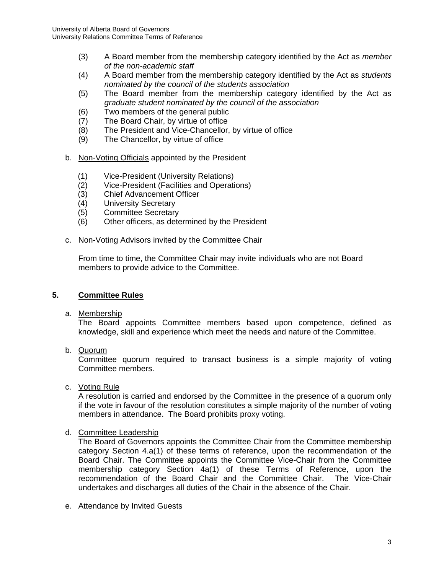- (3) A Board member from the membership category identified by the Act as *member of the non-academic staff*
- (4) A Board member from the membership category identified by the Act as *students nominated by the council of the students association*
- (5) The Board member from the membership category identified by the Act as *graduate student nominated by the council of the association*
- (6) Two members of the general public
- (7) The Board Chair, by virtue of office
- (8) The President and Vice-Chancellor, by virtue of office
- (9) The Chancellor, by virtue of office
- b. Non-Voting Officials appointed by the President
	- (1) Vice-President (University Relations)
	- (2) Vice-President (Facilities and Operations)
	- (3) Chief Advancement Officer
	- (4) University Secretary
	- (5) Committee Secretary
	- (6) Other officers, as determined by the President
- c. Non-Voting Advisors invited by the Committee Chair

From time to time, the Committee Chair may invite individuals who are not Board members to provide advice to the Committee.

## **5. Committee Rules**

a. Membership

The Board appoints Committee members based upon competence, defined as knowledge, skill and experience which meet the needs and nature of the Committee.

b. Quorum

Committee quorum required to transact business is a simple majority of voting Committee members.

c. Voting Rule

A resolution is carried and endorsed by the Committee in the presence of a quorum only if the vote in favour of the resolution constitutes a simple majority of the number of voting members in attendance. The Board prohibits proxy voting.

d. Committee Leadership

The Board of Governors appoints the Committee Chair from the Committee membership category Section 4.a(1) of these terms of reference, upon the recommendation of the Board Chair. The Committee appoints the Committee Vice-Chair from the Committee membership category Section 4a(1) of these Terms of Reference, upon the recommendation of the Board Chair and the Committee Chair. The Vice-Chair undertakes and discharges all duties of the Chair in the absence of the Chair.

e. Attendance by Invited Guests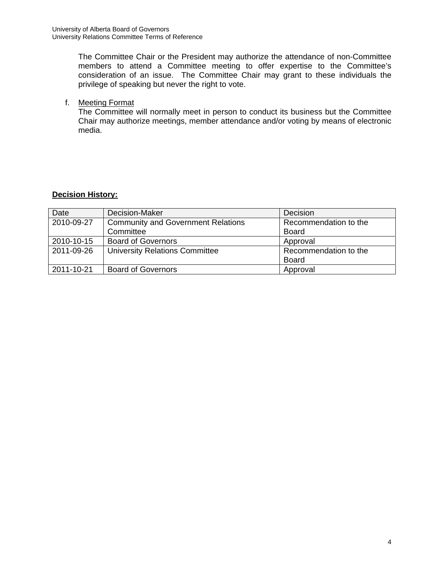The Committee Chair or the President may authorize the attendance of non-Committee members to attend a Committee meeting to offer expertise to the Committee's consideration of an issue. The Committee Chair may grant to these individuals the privilege of speaking but never the right to vote.

## f. Meeting Format

The Committee will normally meet in person to conduct its business but the Committee Chair may authorize meetings, member attendance and/or voting by means of electronic media.

## **Decision History:**

| Date       | Decision-Maker                            | Decision              |
|------------|-------------------------------------------|-----------------------|
| 2010-09-27 | <b>Community and Government Relations</b> | Recommendation to the |
|            | Committee                                 | <b>Board</b>          |
| 2010-10-15 | <b>Board of Governors</b>                 | Approval              |
| 2011-09-26 | <b>University Relations Committee</b>     | Recommendation to the |
|            |                                           | <b>Board</b>          |
| 2011-10-21 | <b>Board of Governors</b>                 | Approval              |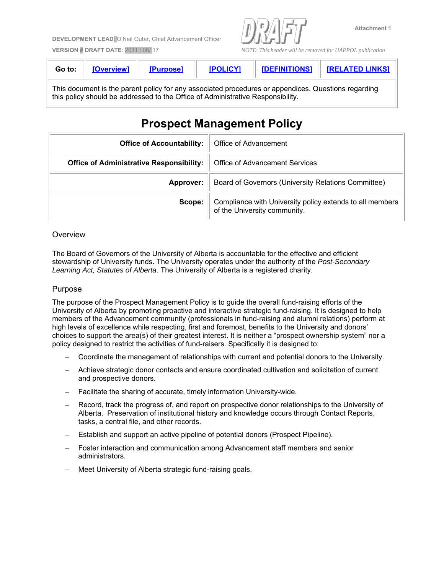<span id="page-52-0"></span>**DEVELOPMENT LEAD**: O'Neil Outar, Chief Advancement Officer



**Attachment 1** 

**VERSION # DRAFT DATE**: 2011 / 08/ 17 *NOTE*: *This header will be removed for UAPPOL publication*

| Go to: | <b>TOverview1</b> | <b>[Purnose]</b> | <b>IDALICY1</b> | <b>IDEFINITIONS1</b> | <b>IRELATED LINKSI</b> |
|--------|-------------------|------------------|-----------------|----------------------|------------------------|
|        |                   |                  |                 |                      |                        |

This document is the parent policy for any associated procedures or appendices. Questions regarding this policy should be addressed to the Office of Administrative Responsibility.

# **Prospect Management Policy**

| <b>Office of Accountability:</b>                | Office of Advancement                                                                    |
|-------------------------------------------------|------------------------------------------------------------------------------------------|
| <b>Office of Administrative Responsibility:</b> | Office of Advancement Services                                                           |
| Approver:                                       | Board of Governors (University Relations Committee)                                      |
| Scope:                                          | Compliance with University policy extends to all members<br>of the University community. |

## **Overview**

The Board of Governors of the University of Alberta is accountable for the effective and efficient stewardship of University funds. The University operates under the authority of the *Post-Secondary Learning Act, Statutes of Alberta*. The University of Alberta is a registered charity.

## Purpose

The purpose of the Prospect Management Policy is to guide the overall fund-raising efforts of the University of Alberta by promoting proactive and interactive strategic fund-raising. It is designed to help members of the Advancement community (professionals in fund-raising and alumni relations) perform at high levels of excellence while respecting, first and foremost, benefits to the University and donors' choices to support the area(s) of their greatest interest. It is neither a "prospect ownership system" nor a policy designed to restrict the activities of fund-raisers. Specifically it is designed to:

- Coordinate the management of relationships with current and potential donors to the University.
- Achieve strategic donor contacts and ensure coordinated cultivation and solicitation of current and prospective donors.
- Facilitate the sharing of accurate, timely information University-wide.
- Record, track the progress of, and report on prospective donor relationships to the University of Alberta. Preservation of institutional history and knowledge occurs through Contact Reports, tasks, a central file, and other records.
- Establish and support an active pipeline of potential donors (Prospect Pipeline).
- Foster interaction and communication among Advancement staff members and senior administrators.
- Meet University of Alberta strategic fund-raising goals.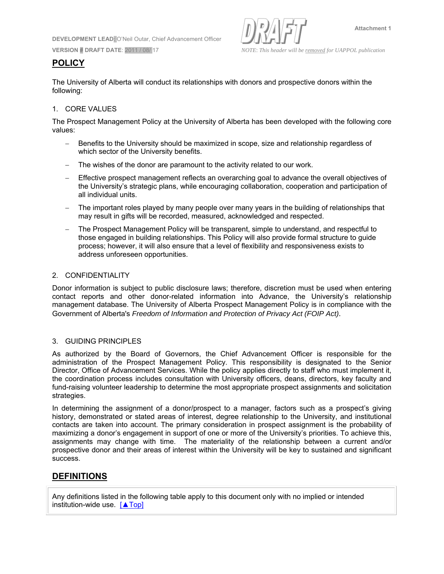**DEVELOPMENT LEAD**: O'Neil Outar, Chief Advancement Officer



**VERSION # DRAFT DATE**: 2011 / 08/ 17 *NOTE*: *This header will be removed for UAPPOL publication*

# **POLICY**

The University of Alberta will conduct its relationships with donors and prospective donors within the following:

## 1. CORE VALUES

The Prospect Management Policy at the University of Alberta has been developed with the following core values:

- Benefits to the University should be maximized in scope, size and relationship regardless of which sector of the University benefits.
- The wishes of the donor are paramount to the activity related to our work.
- Effective prospect management reflects an overarching goal to advance the overall objectives of the University's strategic plans, while encouraging collaboration, cooperation and participation of all individual units.
- The important roles played by many people over many years in the building of relationships that may result in gifts will be recorded, measured, acknowledged and respected.
- The Prospect Management Policy will be transparent, simple to understand, and respectful to those engaged in building relationships. This Policy will also provide formal structure to guide process; however, it will also ensure that a level of flexibility and responsiveness exists to address unforeseen opportunities.

## 2. CONFIDENTIALITY

Donor information is subject to public disclosure laws; therefore, discretion must be used when entering contact reports and other donor-related information into Advance, the University's relationship management database. The University of Alberta Prospect Management Policy is in compliance with the Government of Alberta's *Freedom of Information and Protection of Privacy Act (FOIP Act)*.

## 3. GUIDING PRINCIPLES

As authorized by the Board of Governors, the Chief Advancement Officer is responsible for the administration of the Prospect Management Policy. This responsibility is designated to the Senior Director, Office of Advancement Services. While the policy applies directly to staff who must implement it, the coordination process includes consultation with University officers, deans, directors, key faculty and fund-raising volunteer leadership to determine the most appropriate prospect assignments and solicitation strategies.

In determining the assignment of a donor/prospect to a manager, factors such as a prospect's giving history, demonstrated or stated areas of interest, degree relationship to the University, and institutional contacts are taken into account. The primary consideration in prospect assignment is the probability of maximizing a donor's engagement in support of one or more of the University's priorities. To achieve this, assignments may change with time. The materiality of the relationship between a current and/or prospective donor and their areas of interest within the University will be key to sustained and significant success.

# **DEFINITIONS**

Any definitions listed in the following table apply to this document only with no implied or intended institution-wide use. [▲Top]